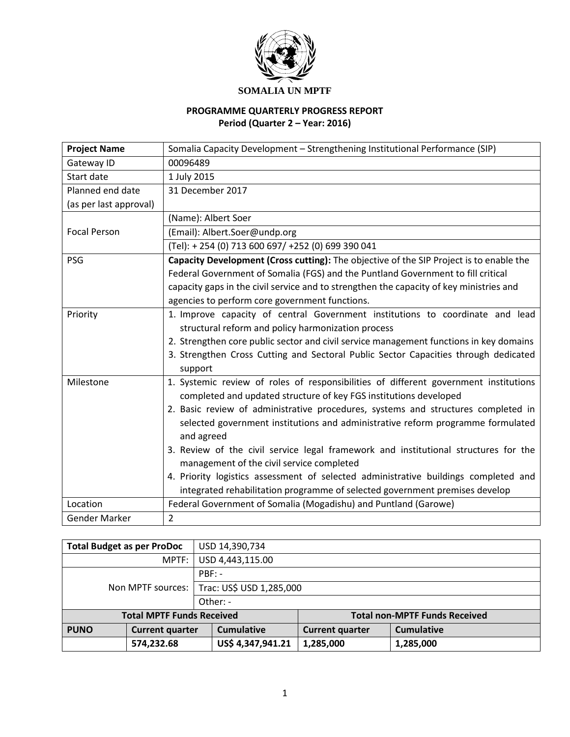

# **SOMALIA UN MPTF**

# **PROGRAMME QUARTERLY PROGRESS REPORT Period (Quarter 2 – Year: 2016)**

| <b>Project Name</b>    | Somalia Capacity Development - Strengthening Institutional Performance (SIP)            |
|------------------------|-----------------------------------------------------------------------------------------|
| Gateway ID             | 00096489                                                                                |
| Start date             | 1 July 2015                                                                             |
| Planned end date       | 31 December 2017                                                                        |
| (as per last approval) |                                                                                         |
|                        | (Name): Albert Soer                                                                     |
| <b>Focal Person</b>    | (Email): Albert.Soer@undp.org                                                           |
|                        | (Tel): +254 (0) 713 600 697/ +252 (0) 699 390 041                                       |
| PSG                    | Capacity Development (Cross cutting): The objective of the SIP Project is to enable the |
|                        | Federal Government of Somalia (FGS) and the Puntland Government to fill critical        |
|                        | capacity gaps in the civil service and to strengthen the capacity of key ministries and |
|                        | agencies to perform core government functions.                                          |
| Priority               | 1. Improve capacity of central Government institutions to coordinate and lead           |
|                        | structural reform and policy harmonization process                                      |
|                        | 2. Strengthen core public sector and civil service management functions in key domains  |
|                        | 3. Strengthen Cross Cutting and Sectoral Public Sector Capacities through dedicated     |
|                        | support                                                                                 |
| Milestone              | 1. Systemic review of roles of responsibilities of different government institutions    |
|                        | completed and updated structure of key FGS institutions developed                       |
|                        | 2. Basic review of administrative procedures, systems and structures completed in       |
|                        | selected government institutions and administrative reform programme formulated         |
|                        | and agreed                                                                              |
|                        | 3. Review of the civil service legal framework and institutional structures for the     |
|                        | management of the civil service completed                                               |
|                        | 4. Priority logistics assessment of selected administrative buildings completed and     |
|                        | integrated rehabilitation programme of selected government premises develop             |
| Location               | Federal Government of Somalia (Mogadishu) and Puntland (Garowe)                         |
| Gender Marker          | 2                                                                                       |

| <b>Total Budget as per ProDoc</b>     |                     | USD 14,390,734           |                        |                                      |
|---------------------------------------|---------------------|--------------------------|------------------------|--------------------------------------|
|                                       | MPTF:               | USD 4,443,115.00         |                        |                                      |
|                                       |                     | $PBF: -$                 |                        |                                      |
|                                       | Non MPTF sources: I | Trac: US\$ USD 1,285,000 |                        |                                      |
|                                       |                     | Other: -                 |                        |                                      |
| <b>Total MPTF Funds Received</b>      |                     |                          |                        | <b>Total non-MPTF Funds Received</b> |
| <b>PUNO</b><br><b>Current quarter</b> |                     | <b>Cumulative</b>        | <b>Current quarter</b> | <b>Cumulative</b>                    |
| 574,232.68                            |                     | US\$ 4,347,941.21        | 1,285,000              | 1,285,000                            |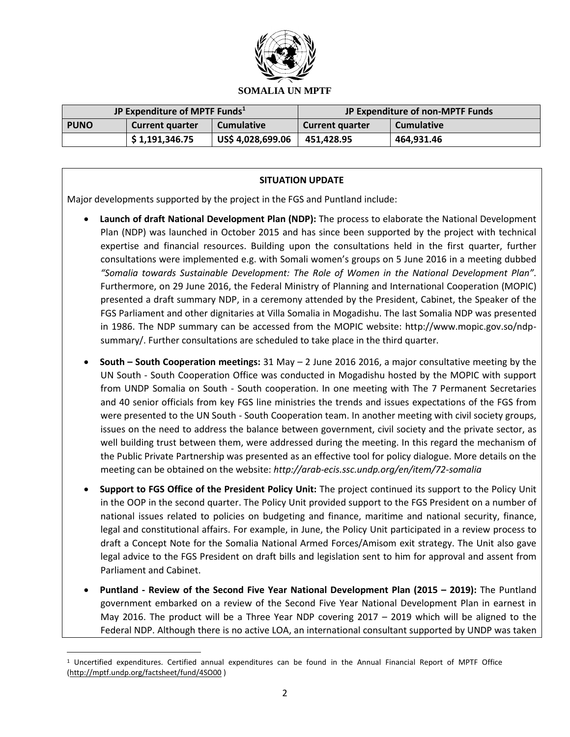

| JP Expenditure of MPTF Funds <sup>1</sup> |                        |                   |                        | JP Expenditure of non-MPTF Funds |
|-------------------------------------------|------------------------|-------------------|------------------------|----------------------------------|
| <b>PUNO</b>                               | <b>Current quarter</b> | <b>Cumulative</b> | <b>Current quarter</b> | <b>Cumulative</b>                |
|                                           | \$1,191,346.75         | US\$ 4,028,699.06 | 451.428.95             | 464.931.46                       |

### **SITUATION UPDATE**

Major developments supported by the project in the FGS and Puntland include:

- **Launch of draft National Development Plan (NDP):** The process to elaborate the National Development Plan (NDP) was launched in October 2015 and has since been supported by the project with technical expertise and financial resources. Building upon the consultations held in the first quarter, further consultations were implemented e.g. with Somali women's groups on 5 June 2016 in a meeting dubbed *"Somalia towards Sustainable Development: The Role of Women in the National Development Plan".*  Furthermore, on 29 June 2016, the Federal Ministry of Planning and International Cooperation (MOPIC) presented a draft summary NDP, in a ceremony attended by the President, Cabinet, the Speaker of the FGS Parliament and other dignitaries at Villa Somalia in Mogadishu. The last Somalia NDP was presented in 1986. The NDP summary can be accessed from the MOPIC website: http://www.mopic.gov.so/ndpsummary/. Further consultations are scheduled to take place in the third quarter.
- **South – South Cooperation meetings:** 31 May 2 June 2016 2016, a major consultative meeting by the UN South - South Cooperation Office was conducted in Mogadishu hosted by the MOPIC with support from UNDP Somalia on South - South cooperation. In one meeting with The 7 Permanent Secretaries and 40 senior officials from key FGS line ministries the trends and issues expectations of the FGS from were presented to the UN South - South Cooperation team. In another meeting with civil society groups, issues on the need to address the balance between government, civil society and the private sector, as well building trust between them, were addressed during the meeting. In this regard the mechanism of the Public Private Partnership was presented as an effective tool for policy dialogue. More details on the meeting can be obtained on the website: *http://arab-ecis.ssc.undp.org/en/item/72-somalia*
- **Support to FGS Office of the President Policy Unit:** The project continued its support to the Policy Unit in the OOP in the second quarter. The Policy Unit provided support to the FGS President on a number of national issues related to policies on budgeting and finance, maritime and national security, finance, legal and constitutional affairs. For example, in June, the Policy Unit participated in a review process to draft a Concept Note for the Somalia National Armed Forces/Amisom exit strategy. The Unit also gave legal advice to the FGS President on draft bills and legislation sent to him for approval and assent from Parliament and Cabinet.
- **Puntland - Review of the Second Five Year National Development Plan (2015 – 2019):** The Puntland government embarked on a review of the Second Five Year National Development Plan in earnest in May 2016. The product will be a Three Year NDP covering 2017 – 2019 which will be aligned to the Federal NDP. Although there is no active LOA, an international consultant supported by UNDP was taken

 $\overline{\phantom{a}}$ 

 $1$  Uncertified expenditures. Certified annual expenditures can be found in the Annual Financial Report of MPTF Office [\(http://mptf.undp.org/factsheet/fund/4SO00](http://mptf.undp.org/factsheet/fund/4SO00) )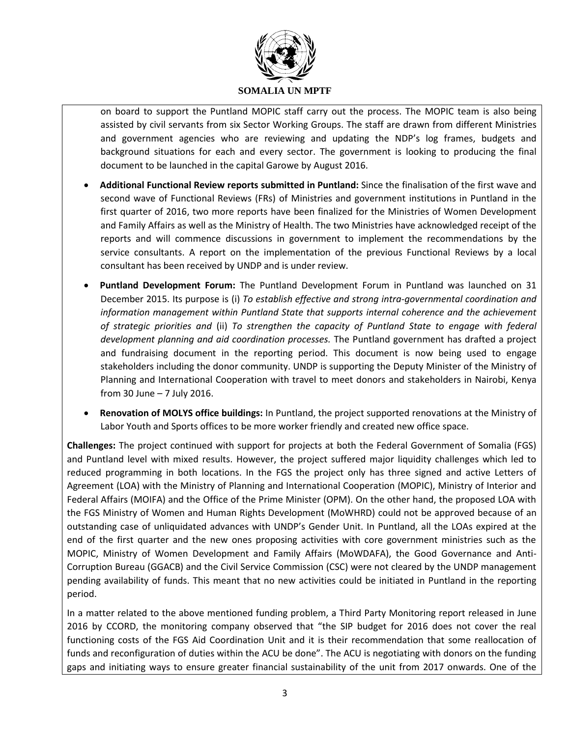

on board to support the Puntland MOPIC staff carry out the process. The MOPIC team is also being assisted by civil servants from six Sector Working Groups. The staff are drawn from different Ministries and government agencies who are reviewing and updating the NDP's log frames, budgets and background situations for each and every sector. The government is looking to producing the final document to be launched in the capital Garowe by August 2016.

- **Additional Functional Review reports submitted in Puntland:** Since the finalisation of the first wave and second wave of Functional Reviews (FRs) of Ministries and government institutions in Puntland in the first quarter of 2016, two more reports have been finalized for the Ministries of Women Development and Family Affairs as well as the Ministry of Health. The two Ministries have acknowledged receipt of the reports and will commence discussions in government to implement the recommendations by the service consultants. A report on the implementation of the previous Functional Reviews by a local consultant has been received by UNDP and is under review.
- **Puntland Development Forum:** The Puntland Development Forum in Puntland was launched on 31 December 2015. Its purpose is (i) *To establish effective and strong intra-governmental coordination and information management within Puntland State that supports internal coherence and the achievement of strategic priorities and* (ii) *To strengthen the capacity of Puntland State to engage with federal development planning and aid coordination processes.* The Puntland government has drafted a project and fundraising document in the reporting period. This document is now being used to engage stakeholders including the donor community. UNDP is supporting the Deputy Minister of the Ministry of Planning and International Cooperation with travel to meet donors and stakeholders in Nairobi, Kenya from 30 June – 7 July 2016.
- **Renovation of MOLYS office buildings:** In Puntland, the project supported renovations at the Ministry of Labor Youth and Sports offices to be more worker friendly and created new office space.

**Challenges:** The project continued with support for projects at both the Federal Government of Somalia (FGS) and Puntland level with mixed results. However, the project suffered major liquidity challenges which led to reduced programming in both locations. In the FGS the project only has three signed and active Letters of Agreement (LOA) with the Ministry of Planning and International Cooperation (MOPIC), Ministry of Interior and Federal Affairs (MOIFA) and the Office of the Prime Minister (OPM). On the other hand, the proposed LOA with the FGS Ministry of Women and Human Rights Development (MoWHRD) could not be approved because of an outstanding case of unliquidated advances with UNDP's Gender Unit. In Puntland, all the LOAs expired at the end of the first quarter and the new ones proposing activities with core government ministries such as the MOPIC, Ministry of Women Development and Family Affairs (MoWDAFA), the Good Governance and Anti-Corruption Bureau (GGACB) and the Civil Service Commission (CSC) were not cleared by the UNDP management pending availability of funds. This meant that no new activities could be initiated in Puntland in the reporting period.

In a matter related to the above mentioned funding problem, a Third Party Monitoring report released in June 2016 by CCORD, the monitoring company observed that "the SIP budget for 2016 does not cover the real functioning costs of the FGS Aid Coordination Unit and it is their recommendation that some reallocation of funds and reconfiguration of duties within the ACU be done". The ACU is negotiating with donors on the funding gaps and initiating ways to ensure greater financial sustainability of the unit from 2017 onwards. One of the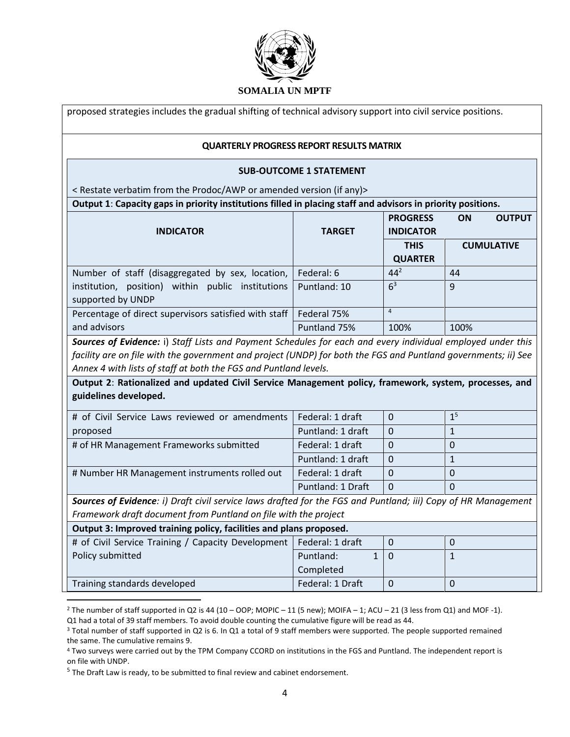

|                                                                                                                                                                                                                                                                                                                      | proposed strategies includes the gradual shifting of technical advisory support into civil service positions. |                  |                     |  |
|----------------------------------------------------------------------------------------------------------------------------------------------------------------------------------------------------------------------------------------------------------------------------------------------------------------------|---------------------------------------------------------------------------------------------------------------|------------------|---------------------|--|
| <b>QUARTERLY PROGRESS REPORT RESULTS MATRIX</b>                                                                                                                                                                                                                                                                      |                                                                                                               |                  |                     |  |
|                                                                                                                                                                                                                                                                                                                      | <b>SUB-OUTCOME 1 STATEMENT</b>                                                                                |                  |                     |  |
| <restate (if="" amended="" any)="" awp="" from="" or="" prodoc="" the="" verbatim="" version=""></restate>                                                                                                                                                                                                           |                                                                                                               |                  |                     |  |
| Output 1: Capacity gaps in priority institutions filled in placing staff and advisors in priority positions.                                                                                                                                                                                                         |                                                                                                               |                  |                     |  |
|                                                                                                                                                                                                                                                                                                                      |                                                                                                               | <b>PROGRESS</b>  | ON<br><b>OUTPUT</b> |  |
| <b>INDICATOR</b>                                                                                                                                                                                                                                                                                                     | <b>TARGET</b>                                                                                                 | <b>INDICATOR</b> |                     |  |
|                                                                                                                                                                                                                                                                                                                      |                                                                                                               | <b>THIS</b>      | <b>CUMULATIVE</b>   |  |
|                                                                                                                                                                                                                                                                                                                      |                                                                                                               | <b>QUARTER</b>   |                     |  |
| Number of staff (disaggregated by sex, location,                                                                                                                                                                                                                                                                     | Federal: 6                                                                                                    | $44^{2}$         | 44                  |  |
| institution, position) within public institutions                                                                                                                                                                                                                                                                    | Puntland: 10                                                                                                  | 6 <sup>3</sup>   | 9                   |  |
| supported by UNDP                                                                                                                                                                                                                                                                                                    |                                                                                                               |                  |                     |  |
| Percentage of direct supervisors satisfied with staff                                                                                                                                                                                                                                                                | Federal 75%                                                                                                   | $\overline{4}$   |                     |  |
| and advisors                                                                                                                                                                                                                                                                                                         | Puntland 75%                                                                                                  | 100%             | 100%                |  |
| facility are on file with the government and project (UNDP) for both the FGS and Puntland governments; ii) See<br>Annex 4 with lists of staff at both the FGS and Puntland levels.<br>Output 2: Rationalized and updated Civil Service Management policy, framework, system, processes, and<br>guidelines developed. |                                                                                                               |                  |                     |  |
| # of Civil Service Laws reviewed or amendments                                                                                                                                                                                                                                                                       | Federal: 1 draft                                                                                              | $\mathbf 0$      | 1 <sup>5</sup>      |  |
| proposed                                                                                                                                                                                                                                                                                                             | Puntland: 1 draft                                                                                             | $\mathbf 0$      | $\mathbf{1}$        |  |
| # of HR Management Frameworks submitted                                                                                                                                                                                                                                                                              | Federal: 1 draft                                                                                              | $\Omega$         | $\mathbf 0$         |  |
|                                                                                                                                                                                                                                                                                                                      | Puntland: 1 draft                                                                                             | $\mathbf 0$      | $\mathbf{1}$        |  |
| # Number HR Management instruments rolled out                                                                                                                                                                                                                                                                        | Federal: 1 draft                                                                                              | 0                | $\mathbf 0$         |  |
|                                                                                                                                                                                                                                                                                                                      | Puntland: 1 Draft                                                                                             | $\Omega$         | $\Omega$            |  |
| Sources of Evidence: i) Draft civil service laws drafted for the FGS and Puntland; iii) Copy of HR Management                                                                                                                                                                                                        |                                                                                                               |                  |                     |  |
| Framework draft document from Puntland on file with the project                                                                                                                                                                                                                                                      |                                                                                                               |                  |                     |  |
| Output 3: Improved training policy, facilities and plans proposed.                                                                                                                                                                                                                                                   |                                                                                                               |                  |                     |  |
| # of Civil Service Training / Capacity Development                                                                                                                                                                                                                                                                   | Federal: 1 draft                                                                                              | $\mathbf 0$      | $\pmb{0}$           |  |
| Policy submitted                                                                                                                                                                                                                                                                                                     | Puntland:<br>$\mathbf{1}$                                                                                     | $\mathbf 0$      | $\mathbf{1}$        |  |
|                                                                                                                                                                                                                                                                                                                      | Completed                                                                                                     |                  |                     |  |
| Training standards developed                                                                                                                                                                                                                                                                                         | Federal: 1 Draft                                                                                              | $\pmb{0}$        | $\mathbf 0$         |  |

<sup>2</sup> The number of staff supported in Q2 is 44 (10 – OOP; MOPIC – 11 (5 new); MOIFA – 1; ACU – 21 (3 less from Q1) and MOF -1). Q1 had a total of 39 staff members. To avoid double counting the cumulative figure will be read as 44.

<sup>&</sup>lt;sup>3</sup> Total number of staff supported in Q2 is 6. In Q1 a total of 9 staff members were supported. The people supported remained the same. The cumulative remains 9.

<sup>4</sup> Two surveys were carried out by the TPM Company CCORD on institutions in the FGS and Puntland. The independent report is on file with UNDP.

<sup>&</sup>lt;sup>5</sup> The Draft Law is ready, to be submitted to final review and cabinet endorsement.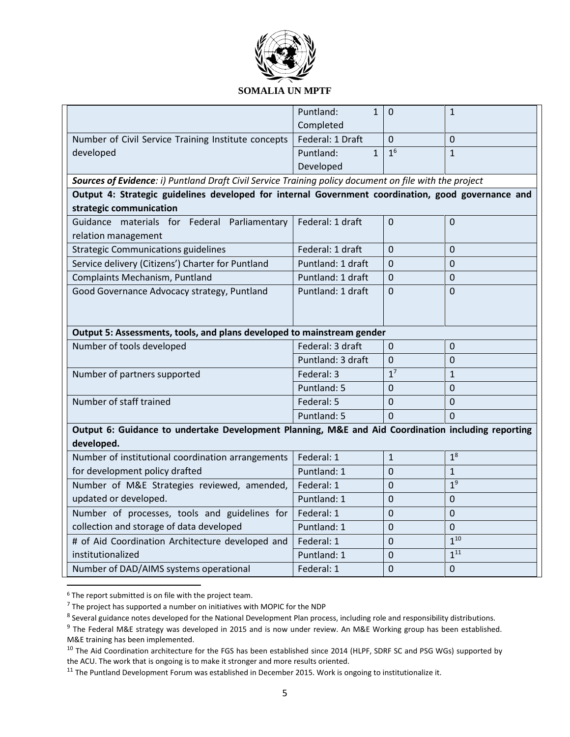

#### **SOMALIA UN MPTF**

|                                                                                                        | Puntland:<br>$\mathbf{1}$ | $\mathbf 0$    | $\mathbf{1}$   |
|--------------------------------------------------------------------------------------------------------|---------------------------|----------------|----------------|
|                                                                                                        | Completed                 |                |                |
| Number of Civil Service Training Institute concepts                                                    | Federal: 1 Draft          | $\Omega$       | $\overline{0}$ |
| developed                                                                                              | Puntland:<br>$\mathbf{1}$ | 1 <sup>6</sup> | $\mathbf{1}$   |
|                                                                                                        | Developed                 |                |                |
| Sources of Evidence: i) Puntland Draft Civil Service Training policy document on file with the project |                           |                |                |
| Output 4: Strategic guidelines developed for internal Government coordination, good governance and     |                           |                |                |
| strategic communication                                                                                |                           |                |                |
| Guidance materials for Federal Parliamentary                                                           | Federal: 1 draft          | $\overline{0}$ | $\overline{0}$ |
| relation management                                                                                    |                           |                |                |
| <b>Strategic Communications guidelines</b>                                                             | Federal: 1 draft          | $\Omega$       | $\Omega$       |
| Service delivery (Citizens') Charter for Puntland                                                      | Puntland: 1 draft         | $\mathbf{0}$   | $\mathbf 0$    |
| Complaints Mechanism, Puntland                                                                         | Puntland: 1 draft         | $\overline{0}$ | $\overline{0}$ |
| Good Governance Advocacy strategy, Puntland                                                            | Puntland: 1 draft         | $\overline{0}$ | $\overline{0}$ |
|                                                                                                        |                           |                |                |
|                                                                                                        |                           |                |                |
| Output 5: Assessments, tools, and plans developed to mainstream gender                                 |                           |                |                |
| Number of tools developed                                                                              | Federal: 3 draft          | $\mathbf 0$    | $\Omega$       |
|                                                                                                        | Puntland: 3 draft         | $\mathbf 0$    | $\overline{0}$ |
| Number of partners supported                                                                           | Federal: 3                | 1 <sup>7</sup> | $\mathbf{1}$   |
|                                                                                                        | Puntland: 5               | $\overline{0}$ | $\overline{0}$ |
| Number of staff trained                                                                                | Federal: 5                | $\Omega$       | $\Omega$       |
|                                                                                                        | Puntland: 5               | $\mathbf{0}$   | $\Omega$       |
| Output 6: Guidance to undertake Development Planning, M&E and Aid Coordination including reporting     |                           |                |                |
| developed.                                                                                             |                           |                |                |
| Number of institutional coordination arrangements                                                      | Federal: 1                | $\mathbf{1}$   | 1 <sup>8</sup> |
| for development policy drafted                                                                         | Puntland: 1               | $\Omega$       | $\mathbf{1}$   |
| Number of M&E Strategies reviewed, amended,                                                            | Federal: 1                | 0              | 1 <sup>9</sup> |
| updated or developed.                                                                                  | Puntland: 1               | $\mathbf 0$    | $\mathbf 0$    |
| Number of processes, tools and guidelines for                                                          | Federal: 1                | $\overline{0}$ | $\overline{0}$ |
| collection and storage of data developed                                                               | Puntland: 1               | $\Omega$       | $\overline{0}$ |
| # of Aid Coordination Architecture developed and                                                       | Federal: 1                | 0              | $1^{10}$       |
| institutionalized                                                                                      | Puntland: 1               | $\Omega$       | $1^{11}$       |
| Number of DAD/AIMS systems operational                                                                 | Federal: 1                | 0              | $\mathbf 0$    |

<sup>6</sup> The report submitted is on file with the project team.

 $\overline{\phantom{a}}$ 

 $<sup>7</sup>$  The project has supported a number on initiatives with MOPIC for the NDP</sup>

<sup>&</sup>lt;sup>8</sup> Several guidance notes developed for the National Development Plan process, including role and responsibility distributions.

<sup>&</sup>lt;sup>9</sup> The Federal M&E strategy was developed in 2015 and is now under review. An M&E Working group has been established. M&E training has been implemented.

<sup>&</sup>lt;sup>10</sup> The Aid Coordination architecture for the FGS has been established since 2014 (HLPF, SDRF SC and PSG WGs) supported by the ACU. The work that is ongoing is to make it stronger and more results oriented.

<sup>&</sup>lt;sup>11</sup> The Puntland Development Forum was established in December 2015. Work is ongoing to institutionalize it.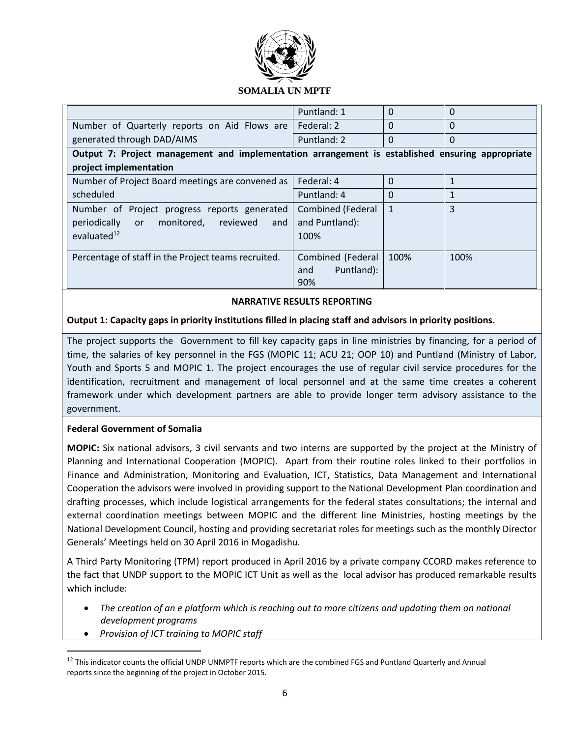

## **SOMALIA UN MPTF**

|                                                                                                 | Puntland: 1              | $\Omega$     | $\Omega$ |
|-------------------------------------------------------------------------------------------------|--------------------------|--------------|----------|
| Number of Quarterly reports on Aid Flows are                                                    | Federal: 2               | $\Omega$     | $\Omega$ |
| generated through DAD/AIMS                                                                      | Puntland: 2              | $\Omega$     | $\Omega$ |
| Output 7: Project management and implementation arrangement is established ensuring appropriate |                          |              |          |
| project implementation                                                                          |                          |              |          |
| Number of Project Board meetings are convened as                                                | Federal: 4               | $\Omega$     |          |
| scheduled                                                                                       | Puntland: 4              | $\Omega$     |          |
| Number of Project progress reports generated                                                    | <b>Combined (Federal</b> | $\mathbf{1}$ | 3        |
| periodically or<br>reviewed<br>monitored,<br>and                                                | and Puntland):           |              |          |
| evaluated $12$                                                                                  | 100%                     |              |          |
| Percentage of staff in the Project teams recruited.                                             | Combined (Federal        | 100%         | 100%     |
|                                                                                                 | Puntland):<br>and        |              |          |
|                                                                                                 | 90%                      |              |          |

### **NARRATIVE RESULTS REPORTING**

### **Output 1: Capacity gaps in priority institutions filled in placing staff and advisors in priority positions.**

The project supports the Government to fill key capacity gaps in line ministries by financing, for a period of time, the salaries of key personnel in the FGS (MOPIC 11; ACU 21; OOP 10) and Puntland (Ministry of Labor, Youth and Sports 5 and MOPIC 1. The project encourages the use of regular civil service procedures for the identification, recruitment and management of local personnel and at the same time creates a coherent framework under which development partners are able to provide longer term advisory assistance to the government.

### **Federal Government of Somalia**

**MOPIC:** Six national advisors, 3 civil servants and two interns are supported by the project at the Ministry of Planning and International Cooperation (MOPIC). Apart from their routine roles linked to their portfolios in Finance and Administration, Monitoring and Evaluation, ICT, Statistics, Data Management and International Cooperation the advisors were involved in providing support to the National Development Plan coordination and drafting processes, which include logistical arrangements for the federal states consultations; the internal and external coordination meetings between MOPIC and the different line Ministries, hosting meetings by the National Development Council, hosting and providing secretariat roles for meetings such as the monthly Director Generals' Meetings held on 30 April 2016 in Mogadishu.

A Third Party Monitoring (TPM) report produced in April 2016 by a private company CCORD makes reference to the fact that UNDP support to the MOPIC ICT Unit as well as the local advisor has produced remarkable results which include:

- **•** The creation of an e platform which is reaching out to more citizens and updating them on national *development programs*
- *Provision of ICT training to MOPIC staff*

l

 $12$  This indicator counts the official UNDP UNMPTF reports which are the combined FGS and Puntland Quarterly and Annual reports since the beginning of the project in October 2015.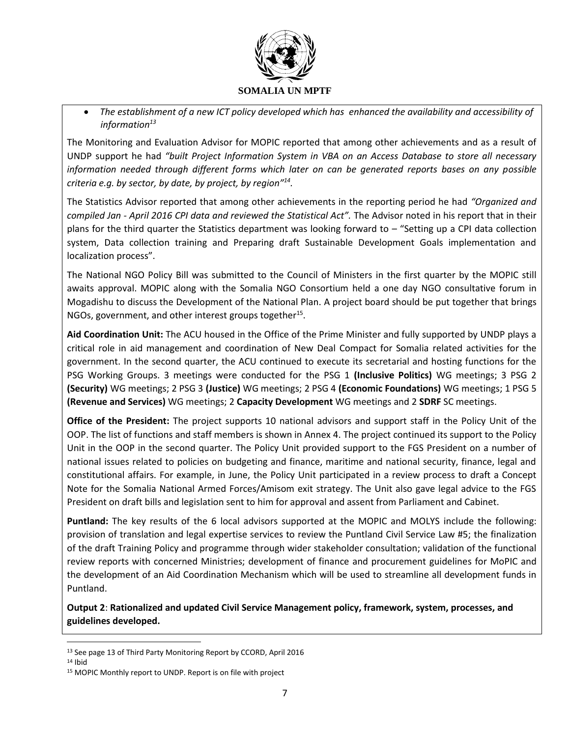

 *The establishment of a new ICT policy developed which has enhanced the availability and accessibility of information<sup>13</sup>*

The Monitoring and Evaluation Advisor for MOPIC reported that among other achievements and as a result of UNDP support he had *"built Project Information System in VBA on an Access Database to store all necessary information needed through different forms which later on can be generated reports bases on any possible criteria e.g. by sector, by date, by project, by region"<sup>14</sup> .*

The Statistics Advisor reported that among other achievements in the reporting period he had *"Organized and compiled Jan - April 2016 CPI data and reviewed the Statistical Act".* The Advisor noted in his report that in their plans for the third quarter the Statistics department was looking forward to – "Setting up a CPI data collection system, Data collection training and Preparing draft Sustainable Development Goals implementation and localization process".

The National NGO Policy Bill was submitted to the Council of Ministers in the first quarter by the MOPIC still awaits approval. MOPIC along with the Somalia NGO Consortium held a one day NGO consultative forum in Mogadishu to discuss the Development of the National Plan. A project board should be put together that brings NGOs, government, and other interest groups together<sup>15</sup>.

**Aid Coordination Unit:** The ACU housed in the Office of the Prime Minister and fully supported by UNDP plays a critical role in aid management and coordination of New Deal Compact for Somalia related activities for the government. In the second quarter, the ACU continued to execute its secretarial and hosting functions for the PSG Working Groups. 3 meetings were conducted for the PSG 1 **(Inclusive Politics)** WG meetings; 3 PSG 2 **(Security)** WG meetings; 2 PSG 3 **(Justice)** WG meetings; 2 PSG 4 **(Economic Foundations)** WG meetings; 1 PSG 5 **(Revenue and Services)** WG meetings; 2 **Capacity Development** WG meetings and 2 **SDRF** SC meetings.

**Office of the President:** The project supports 10 national advisors and support staff in the Policy Unit of the OOP. The list of functions and staff members is shown in Annex 4. The project continued its support to the Policy Unit in the OOP in the second quarter. The Policy Unit provided support to the FGS President on a number of national issues related to policies on budgeting and finance, maritime and national security, finance, legal and constitutional affairs. For example, in June, the Policy Unit participated in a review process to draft a Concept Note for the Somalia National Armed Forces/Amisom exit strategy. The Unit also gave legal advice to the FGS President on draft bills and legislation sent to him for approval and assent from Parliament and Cabinet.

**Puntland:** The key results of the 6 local advisors supported at the MOPIC and MOLYS include the following: provision of translation and legal expertise services to review the Puntland Civil Service Law #5; the finalization of the draft Training Policy and programme through wider stakeholder consultation; validation of the functional review reports with concerned Ministries; development of finance and procurement guidelines for MoPIC and the development of an Aid Coordination Mechanism which will be used to streamline all development funds in Puntland.

**Output 2**: **Rationalized and updated Civil Service Management policy, framework, system, processes, and guidelines developed.**

<sup>14</sup> Ibid

l

<sup>&</sup>lt;sup>13</sup> See page 13 of Third Party Monitoring Report by CCORD, April 2016

<sup>15</sup> MOPIC Monthly report to UNDP. Report is on file with project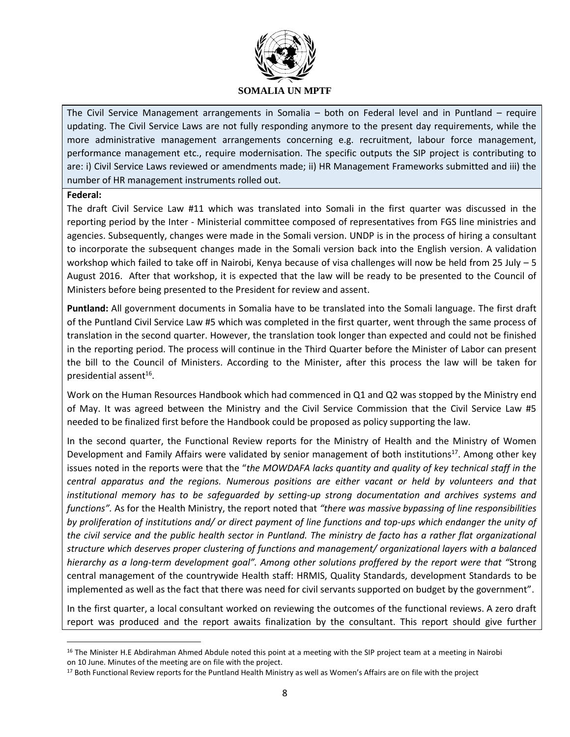

#### **SOMALIA UN MPTF**

The Civil Service Management arrangements in Somalia – both on Federal level and in Puntland – require updating. The Civil Service Laws are not fully responding anymore to the present day requirements, while the more administrative management arrangements concerning e.g. recruitment, labour force management, performance management etc., require modernisation. The specific outputs the SIP project is contributing to are: i) Civil Service Laws reviewed or amendments made; ii) HR Management Frameworks submitted and iii) the number of HR management instruments rolled out.

#### **Federal:**

l

The draft Civil Service Law #11 which was translated into Somali in the first quarter was discussed in the reporting period by the Inter - Ministerial committee composed of representatives from FGS line ministries and agencies. Subsequently, changes were made in the Somali version. UNDP is in the process of hiring a consultant to incorporate the subsequent changes made in the Somali version back into the English version. A validation workshop which failed to take off in Nairobi, Kenya because of visa challenges will now be held from 25 July – 5 August 2016. After that workshop, it is expected that the law will be ready to be presented to the Council of Ministers before being presented to the President for review and assent.

**Puntland:** All government documents in Somalia have to be translated into the Somali language. The first draft of the Puntland Civil Service Law #5 which was completed in the first quarter, went through the same process of translation in the second quarter. However, the translation took longer than expected and could not be finished in the reporting period. The process will continue in the Third Quarter before the Minister of Labor can present the bill to the Council of Ministers. According to the Minister, after this process the law will be taken for presidential assent $^{16}$ .

Work on the Human Resources Handbook which had commenced in Q1 and Q2 was stopped by the Ministry end of May. It was agreed between the Ministry and the Civil Service Commission that the Civil Service Law #5 needed to be finalized first before the Handbook could be proposed as policy supporting the law.

In the second quarter, the Functional Review reports for the Ministry of Health and the Ministry of Women Development and Family Affairs were validated by senior management of both institutions<sup>17</sup>. Among other key issues noted in the reports were that the "*the MOWDAFA lacks quantity and quality of key technical staff in the central apparatus and the regions. Numerous positions are either vacant or held by volunteers and that institutional memory has to be safeguarded by setting-up strong documentation and archives systems and functions".* As for the Health Ministry, the report noted that *"there was massive bypassing of line responsibilities by proliferation of institutions and/ or direct payment of line functions and top-ups which endanger the unity of the civil service and the public health sector in Puntland. The ministry de facto has a rather flat organizational structure which deserves proper clustering of functions and management/ organizational layers with a balanced hierarchy as a long-term development goal". Among other solutions proffered by the report were that "*Strong central management of the countrywide Health staff: HRMIS, Quality Standards, development Standards to be implemented as well as the fact that there was need for civil servants supported on budget by the government".

In the first quarter, a local consultant worked on reviewing the outcomes of the functional reviews. A zero draft report was produced and the report awaits finalization by the consultant. This report should give further

<sup>&</sup>lt;sup>16</sup> The Minister H.E Abdirahman Ahmed Abdule noted this point at a meeting with the SIP project team at a meeting in Nairobi on 10 June. Minutes of the meeting are on file with the project.

<sup>&</sup>lt;sup>17</sup> Both Functional Review reports for the Puntland Health Ministry as well as Women's Affairs are on file with the project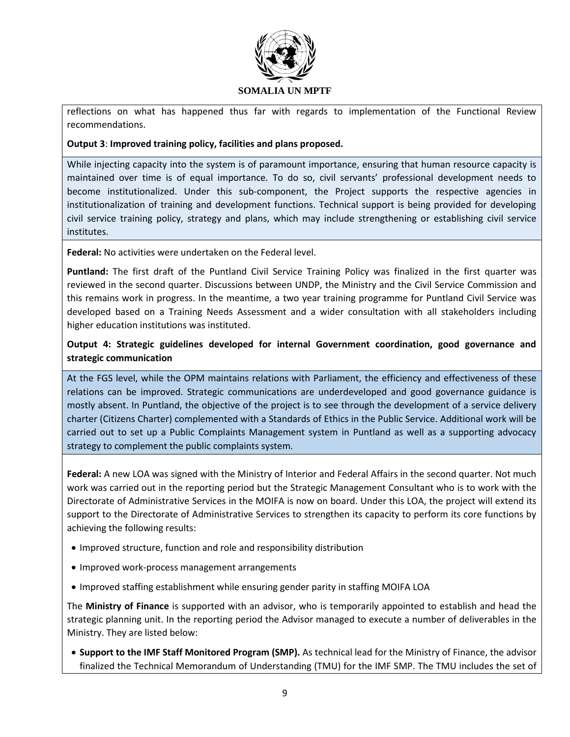

reflections on what has happened thus far with regards to implementation of the Functional Review recommendations.

## **Output 3**: **Improved training policy, facilities and plans proposed.**

While injecting capacity into the system is of paramount importance, ensuring that human resource capacity is maintained over time is of equal importance. To do so, civil servants' professional development needs to become institutionalized. Under this sub-component, the Project supports the respective agencies in institutionalization of training and development functions. Technical support is being provided for developing civil service training policy, strategy and plans, which may include strengthening or establishing civil service institutes.

**Federal:** No activities were undertaken on the Federal level.

**Puntland:** The first draft of the Puntland Civil Service Training Policy was finalized in the first quarter was reviewed in the second quarter. Discussions between UNDP, the Ministry and the Civil Service Commission and this remains work in progress. In the meantime, a two year training programme for Puntland Civil Service was developed based on a Training Needs Assessment and a wider consultation with all stakeholders including higher education institutions was instituted.

# **Output 4: Strategic guidelines developed for internal Government coordination, good governance and strategic communication**

At the FGS level, while the OPM maintains relations with Parliament, the efficiency and effectiveness of these relations can be improved. Strategic communications are underdeveloped and good governance guidance is mostly absent. In Puntland, the objective of the project is to see through the development of a service delivery charter (Citizens Charter) complemented with a Standards of Ethics in the Public Service. Additional work will be carried out to set up a Public Complaints Management system in Puntland as well as a supporting advocacy strategy to complement the public complaints system.

**Federal:** A new LOA was signed with the Ministry of Interior and Federal Affairs in the second quarter. Not much work was carried out in the reporting period but the Strategic Management Consultant who is to work with the Directorate of Administrative Services in the MOIFA is now on board. Under this LOA, the project will extend its support to the Directorate of Administrative Services to strengthen its capacity to perform its core functions by achieving the following results:

- Improved structure, function and role and responsibility distribution
- Improved work-process management arrangements
- Improved staffing establishment while ensuring gender parity in staffing MOIFA LOA

The **Ministry of Finance** is supported with an advisor, who is temporarily appointed to establish and head the strategic planning unit. In the reporting period the Advisor managed to execute a number of deliverables in the Ministry. They are listed below:

 **Support to the IMF Staff Monitored Program (SMP).** As technical lead for the Ministry of Finance, the advisor finalized the Technical Memorandum of Understanding (TMU) for the IMF SMP. The TMU includes the set of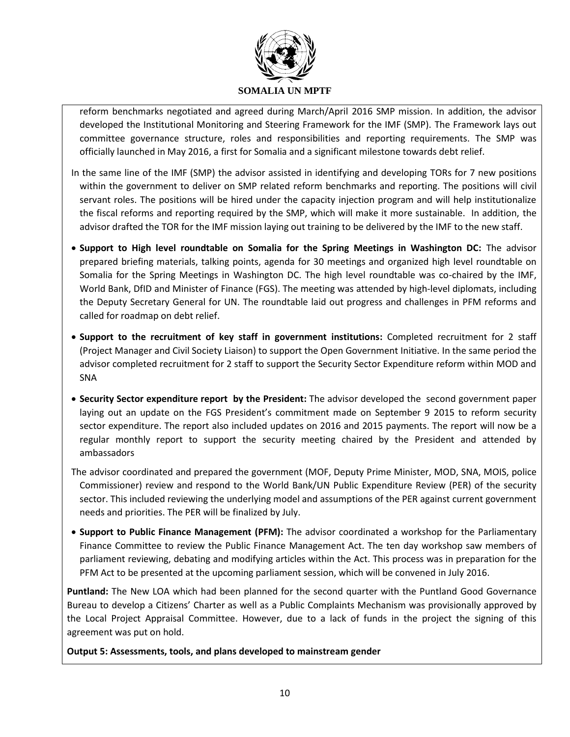

reform benchmarks negotiated and agreed during March/April 2016 SMP mission. In addition, the advisor developed the Institutional Monitoring and Steering Framework for the IMF (SMP). The Framework lays out committee governance structure, roles and responsibilities and reporting requirements. The SMP was officially launched in May 2016, a first for Somalia and a significant milestone towards debt relief.

- In the same line of the IMF (SMP) the advisor assisted in identifying and developing TORs for 7 new positions within the government to deliver on SMP related reform benchmarks and reporting. The positions will civil servant roles. The positions will be hired under the capacity injection program and will help institutionalize the fiscal reforms and reporting required by the SMP, which will make it more sustainable. In addition, the advisor drafted the TOR for the IMF mission laying out training to be delivered by the IMF to the new staff.
- **Support to High level roundtable on Somalia for the Spring Meetings in Washington DC:** The advisor prepared briefing materials, talking points, agenda for 30 meetings and organized high level roundtable on Somalia for the Spring Meetings in Washington DC. The high level roundtable was co-chaired by the IMF, World Bank, DfID and Minister of Finance (FGS). The meeting was attended by high-level diplomats, including the Deputy Secretary General for UN. The roundtable laid out progress and challenges in PFM reforms and called for roadmap on debt relief.
- **Support to the recruitment of key staff in government institutions:** Completed recruitment for 2 staff (Project Manager and Civil Society Liaison) to support the Open Government Initiative. In the same period the advisor completed recruitment for 2 staff to support the Security Sector Expenditure reform within MOD and SNA
- **Security Sector expenditure report by the President:** The advisor developed the second government paper laying out an update on the FGS President's commitment made on September 9 2015 to reform security sector expenditure. The report also included updates on 2016 and 2015 payments. The report will now be a regular monthly report to support the security meeting chaired by the President and attended by ambassadors
- The advisor coordinated and prepared the government (MOF, Deputy Prime Minister, MOD, SNA, MOIS, police Commissioner) review and respond to the World Bank/UN Public Expenditure Review (PER) of the security sector. This included reviewing the underlying model and assumptions of the PER against current government needs and priorities. The PER will be finalized by July.
- **Support to Public Finance Management (PFM):** The advisor coordinated a workshop for the Parliamentary Finance Committee to review the Public Finance Management Act. The ten day workshop saw members of parliament reviewing, debating and modifying articles within the Act. This process was in preparation for the PFM Act to be presented at the upcoming parliament session, which will be convened in July 2016.

**Puntland:** The New LOA which had been planned for the second quarter with the Puntland Good Governance Bureau to develop a Citizens' Charter as well as a Public Complaints Mechanism was provisionally approved by the Local Project Appraisal Committee. However, due to a lack of funds in the project the signing of this agreement was put on hold.

**Output 5: Assessments, tools, and plans developed to mainstream gender**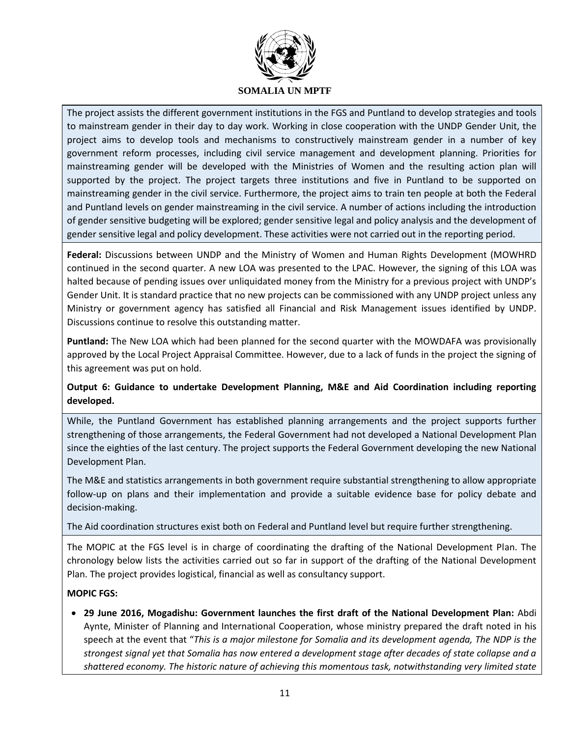

The project assists the different government institutions in the FGS and Puntland to develop strategies and tools to mainstream gender in their day to day work. Working in close cooperation with the UNDP Gender Unit, the project aims to develop tools and mechanisms to constructively mainstream gender in a number of key government reform processes, including civil service management and development planning. Priorities for mainstreaming gender will be developed with the Ministries of Women and the resulting action plan will supported by the project. The project targets three institutions and five in Puntland to be supported on mainstreaming gender in the civil service. Furthermore, the project aims to train ten people at both the Federal and Puntland levels on gender mainstreaming in the civil service. A number of actions including the introduction of gender sensitive budgeting will be explored; gender sensitive legal and policy analysis and the development of gender sensitive legal and policy development. These activities were not carried out in the reporting period.

**Federal:** Discussions between UNDP and the Ministry of Women and Human Rights Development (MOWHRD continued in the second quarter. A new LOA was presented to the LPAC. However, the signing of this LOA was halted because of pending issues over unliquidated money from the Ministry for a previous project with UNDP's Gender Unit. It is standard practice that no new projects can be commissioned with any UNDP project unless any Ministry or government agency has satisfied all Financial and Risk Management issues identified by UNDP. Discussions continue to resolve this outstanding matter.

**Puntland:** The New LOA which had been planned for the second quarter with the MOWDAFA was provisionally approved by the Local Project Appraisal Committee. However, due to a lack of funds in the project the signing of this agreement was put on hold.

**Output 6: Guidance to undertake Development Planning, M&E and Aid Coordination including reporting developed.**

While, the Puntland Government has established planning arrangements and the project supports further strengthening of those arrangements, the Federal Government had not developed a National Development Plan since the eighties of the last century. The project supports the Federal Government developing the new National Development Plan.

The M&E and statistics arrangements in both government require substantial strengthening to allow appropriate follow-up on plans and their implementation and provide a suitable evidence base for policy debate and decision-making.

### The Aid coordination structures exist both on Federal and Puntland level but require further strengthening.

The MOPIC at the FGS level is in charge of coordinating the drafting of the National Development Plan. The chronology below lists the activities carried out so far in support of the drafting of the National Development Plan. The project provides logistical, financial as well as consultancy support.

### **MOPIC FGS:**

 **29 June 2016, Mogadishu: Government launches the first draft of the National Development Plan:** Abdi Aynte, Minister of Planning and International Cooperation, whose ministry prepared the draft noted in his speech at the event that "*This is a major milestone for Somalia and its development agenda, The NDP is the strongest signal yet that Somalia has now entered a development stage after decades of state collapse and a shattered economy. The historic nature of achieving this momentous task, notwithstanding very limited state*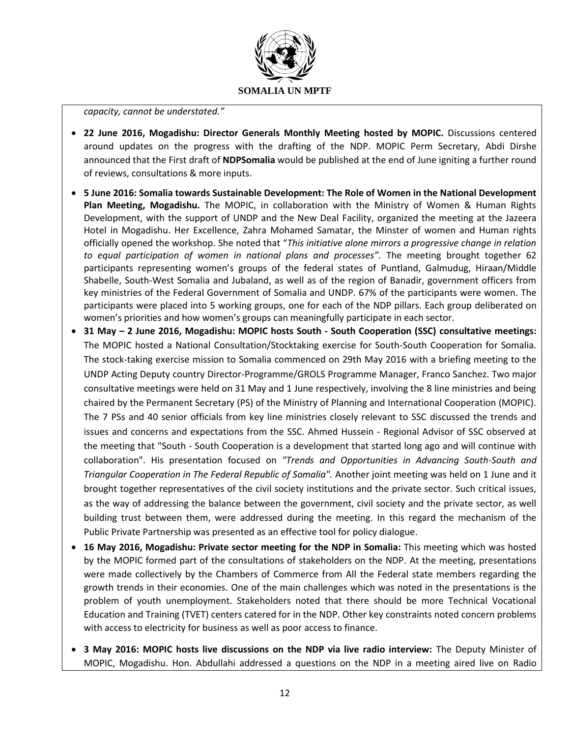

#### *capacity, cannot be understated."*

- **22 June 2016, Mogadishu: Director Generals Monthly Meeting hosted by MOPIC.** Discussions centered around updates on the progress with the drafting of the NDP. MOPIC Perm Secretary, Abdi Dirshe announced that the First draft of **[NDPSomalia](https://twitter.com/hashtag/NDPSomalia?src=hash)** would be published at the end of June igniting a further round of reviews, consultations & more inputs.
- **5 June 2016: Somalia towards Sustainable Development: The Role of Women in the National Development Plan Meeting, Mogadishu.** The MOPIC, in collaboration with the Ministry of Women & Human Rights Development, with the support of UNDP and the New Deal Facility, organized the meeting at the Jazeera Hotel in Mogadishu. Her Excellence, Zahra Mohamed Samatar, the Minster of women and Human rights officially opened the workshop. She noted that "*This initiative alone mirrors a progressive change in relation to equal participation of women in national plans and processes".* The meeting brought together 62 participants representing women's groups of the federal states of Puntland, Galmudug, Hiraan/Middle Shabelle, South-West Somalia and Jubaland, as well as of the region of Banadir, government officers from key ministries of the Federal Government of Somalia and UNDP. 67% of the participants were women. The participants were placed into 5 working groups, one for each of the NDP pillars. Each group deliberated on women's priorities and how women's groups can meaningfully participate in each sector.
- **31 May – 2 June 2016, Mogadishu: MOPIC hosts South - South Cooperation (SSC) consultative meetings:** The MOPIC hosted a National Consultation/Stocktaking exercise for South-South Cooperation for Somalia. The stock-taking exercise mission to Somalia commenced on 29th May 2016 with a briefing meeting to the UNDP Acting Deputy country Director-Programme/GROLS Programme Manager, Franco Sanchez. Two major consultative meetings were held on 31 May and 1 June respectively, involving the 8 line ministries and being chaired by the Permanent Secretary (PS) of the Ministry of Planning and International Cooperation (MOPIC). The 7 PSs and 40 senior officials from key line ministries closely relevant to SSC discussed the trends and issues and concerns and expectations from the SSC. Ahmed Hussein - Regional Advisor of SSC observed at the meeting that "South - South Cooperation is a development that started long ago and will continue with collaboration". His presentation focused on *"Trends and Opportunities in Advancing South-South and Triangular Cooperation in The Federal Republic of Somalia".* Another joint meeting was held on 1 June and it brought together representatives of the civil society institutions and the private sector. Such critical issues, as the way of addressing the balance between the government, civil society and the private sector, as well building trust between them, were addressed during the meeting. In this regard the mechanism of the Public Private Partnership was presented as an effective tool for policy dialogue.
- **16 May 2016, Mogadishu: Private sector meeting for the NDP in Somalia:** This meeting which was hosted by the MOPIC formed part of the consultations of stakeholders on the NDP. At the meeting, presentations were made collectively by the Chambers of Commerce from All the Federal state members regarding the growth trends in their economies. One of the main challenges which was noted in the presentations is the problem of youth unemployment. Stakeholders noted that there should be more Technical Vocational Education and Training (TVET) centers catered for in the NDP. Other key constraints noted concern problems with access to electricity for business as well as poor access to finance.
- **3 May 2016: MOPIC hosts live discussions on the NDP via live radio interview:** The Deputy Minister of MOPIC, Mogadishu. Hon. Abdullahi addressed a questions on the NDP in a meeting aired live on Radio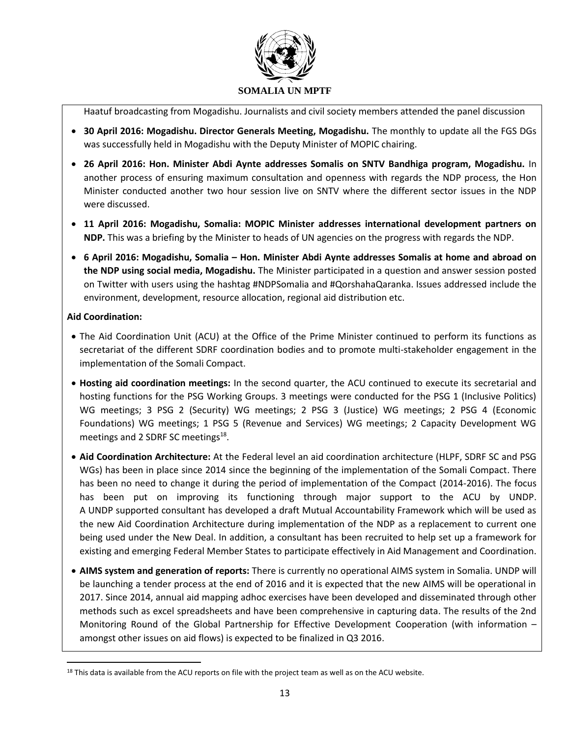

Haatuf broadcasting from Mogadishu. Journalists and civil society members attended the panel discussion

- **30 April 2016: Mogadishu. Director Generals Meeting, Mogadishu.** The monthly to update all the FGS DGs was successfully held in Mogadishu with the Deputy Minister of MOPIC chairing.
- **26 April 2016: Hon. Minister Abdi Aynte addresses Somalis on SNTV Bandhiga program, Mogadishu.** In another process of ensuring maximum consultation and openness with regards the NDP process, the Hon Minister conducted another two hour session live on SNTV where the different sector issues in the NDP were discussed.
- **11 April 2016: Mogadishu, Somalia: MOPIC Minister addresses international development partners on NDP.** This was a briefing by the Minister to heads of UN agencies on the progress with regards the NDP.
- **6 April 2016: Mogadishu, Somalia – Hon. Minister Abdi Aynte addresses Somalis at home and abroad on the NDP using social media, Mogadishu.** The Minister participated in a question and answer session posted on Twitter with users using the hashtag #NDPSomalia and #QorshahaQaranka. Issues addressed include the environment, development, resource allocation, regional aid distribution etc.

## **Aid Coordination:**

 $\overline{\phantom{a}}$ 

- The Aid Coordination Unit (ACU) at the Office of the Prime Minister continued to perform its functions as secretariat of the different SDRF coordination bodies and to promote multi-stakeholder engagement in the implementation of the Somali Compact.
- **Hosting aid coordination meetings:** In the second quarter, the ACU continued to execute its secretarial and hosting functions for the PSG Working Groups. 3 meetings were conducted for the PSG 1 (Inclusive Politics) WG meetings; 3 PSG 2 (Security) WG meetings; 2 PSG 3 (Justice) WG meetings; 2 PSG 4 (Economic Foundations) WG meetings; 1 PSG 5 (Revenue and Services) WG meetings; 2 Capacity Development WG meetings and 2 SDRF SC meetings<sup>18</sup>.
- **Aid Coordination Architecture:** At the Federal level an aid coordination architecture (HLPF, SDRF SC and PSG WGs) has been in place since 2014 since the beginning of the implementation of the Somali Compact. There has been no need to change it during the period of implementation of the Compact (2014-2016). The focus has been put on improving its functioning through major support to the ACU by UNDP. A UNDP supported consultant has developed a draft Mutual Accountability Framework which will be used as the new Aid Coordination Architecture during implementation of the NDP as a replacement to current one being used under the New Deal. In addition, a consultant has been recruited to help set up a framework for existing and emerging Federal Member States to participate effectively in Aid Management and Coordination.
- **AIMS system and generation of reports:** There is currently no operational AIMS system in Somalia. UNDP will be launching a tender process at the end of 2016 and it is expected that the new AIMS will be operational in 2017. Since 2014, annual aid mapping adhoc exercises have been developed and disseminated through other methods such as excel spreadsheets and have been comprehensive in capturing data. The results of the 2nd Monitoring Round of the Global Partnership for Effective Development Cooperation (with information – amongst other issues on aid flows) is expected to be finalized in Q3 2016.

 $18$  This data is available from the ACU reports on file with the project team as well as on the ACU website.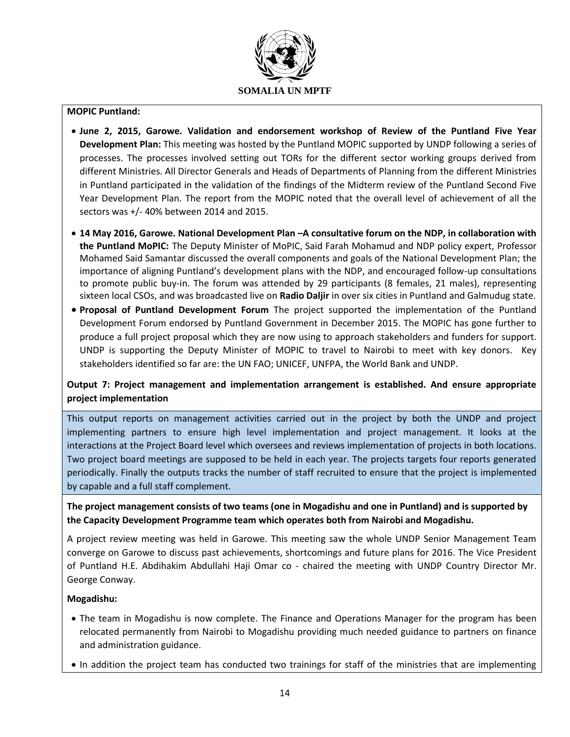

#### **MOPIC Puntland:**

- **June 2, 2015, Garowe. Validation and endorsement workshop of Review of the Puntland Five Year Development Plan:** This meeting was hosted by the Puntland MOPIC supported by UNDP following a series of processes. The processes involved setting out TORs for the different sector working groups derived from different Ministries. All Director Generals and Heads of Departments of Planning from the different Ministries in Puntland participated in the validation of the findings of the Midterm review of the Puntland Second Five Year Development Plan. The report from the MOPIC noted that the overall level of achievement of all the sectors was +/- 40% between 2014 and 2015.
- **14 May 2016, Garowe. National Development Plan –A consultative forum on the NDP, in collaboration with the Puntland MoPIC:** The Deputy Minister of MoPIC, Said Farah Mohamud and NDP policy expert, Professor Mohamed Said Samantar discussed the overall components and goals of the National Development Plan; the importance of aligning Puntland's development plans with the NDP, and encouraged follow-up consultations to promote public buy-in. The forum was attended by 29 participants (8 females, 21 males), representing sixteen local CSOs, and was broadcasted live on **Radio Daljir** in over six cities in Puntland and Galmudug state.
- **Proposal of Puntland Development Forum** The project supported the implementation of the Puntland Development Forum endorsed by Puntland Government in December 2015. The MOPIC has gone further to produce a full project proposal which they are now using to approach stakeholders and funders for support. UNDP is supporting the Deputy Minister of MOPIC to travel to Nairobi to meet with key donors. Key stakeholders identified so far are: the UN FAO; UNICEF, UNFPA, the World Bank and UNDP.

## **Output 7: Project management and implementation arrangement is established. And ensure appropriate project implementation**

This output reports on management activities carried out in the project by both the UNDP and project implementing partners to ensure high level implementation and project management. It looks at the interactions at the Project Board level which oversees and reviews implementation of projects in both locations. Two project board meetings are supposed to be held in each year. The projects targets four reports generated periodically. Finally the outputs tracks the number of staff recruited to ensure that the project is implemented by capable and a full staff complement.

# **The project management consists of two teams (one in Mogadishu and one in Puntland) and is supported by the Capacity Development Programme team which operates both from Nairobi and Mogadishu.**

A project review meeting was held in Garowe. This meeting saw the whole UNDP Senior Management Team converge on Garowe to discuss past achievements, shortcomings and future plans for 2016. The Vice President of Puntland H.E. Abdihakim Abdullahi Haji Omar co - chaired the meeting with UNDP Country Director Mr. George Conway.

### **Mogadishu:**

- The team in Mogadishu is now complete. The Finance and Operations Manager for the program has been relocated permanently from Nairobi to Mogadishu providing much needed guidance to partners on finance and administration guidance.
- In addition the project team has conducted two trainings for staff of the ministries that are implementing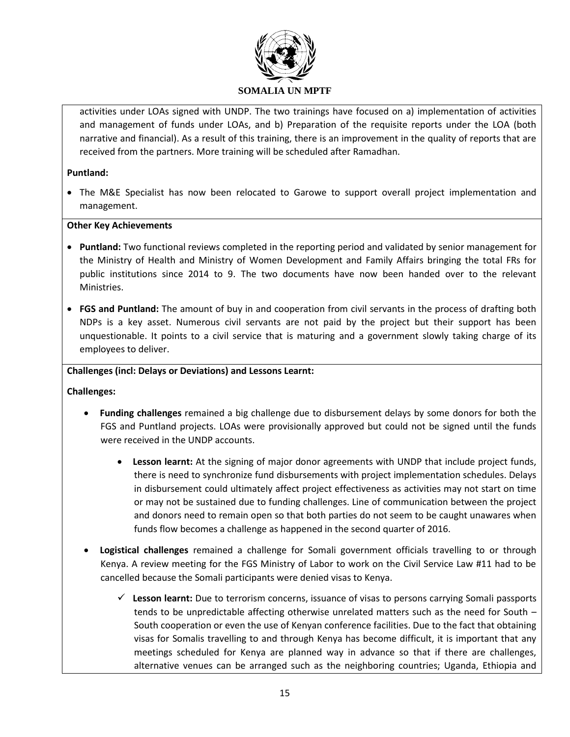

activities under LOAs signed with UNDP. The two trainings have focused on a) implementation of activities and management of funds under LOAs, and b) Preparation of the requisite reports under the LOA (both narrative and financial). As a result of this training, there is an improvement in the quality of reports that are received from the partners. More training will be scheduled after Ramadhan.

## **Puntland:**

 The M&E Specialist has now been relocated to Garowe to support overall project implementation and management.

## **Other Key Achievements**

- **Puntland:** Two functional reviews completed in the reporting period and validated by senior management for the Ministry of Health and Ministry of Women Development and Family Affairs bringing the total FRs for public institutions since 2014 to 9. The two documents have now been handed over to the relevant Ministries.
- **FGS and Puntland:** The amount of buy in and cooperation from civil servants in the process of drafting both NDPs is a key asset. Numerous civil servants are not paid by the project but their support has been unquestionable. It points to a civil service that is maturing and a government slowly taking charge of its employees to deliver.

## **Challenges (incl: Delays or Deviations) and Lessons Learnt:**

**Challenges:**

- **Funding challenges** remained a big challenge due to disbursement delays by some donors for both the FGS and Puntland projects. LOAs were provisionally approved but could not be signed until the funds were received in the UNDP accounts.
	- **Lesson learnt:** At the signing of major donor agreements with UNDP that include project funds, there is need to synchronize fund disbursements with project implementation schedules. Delays in disbursement could ultimately affect project effectiveness as activities may not start on time or may not be sustained due to funding challenges. Line of communication between the project and donors need to remain open so that both parties do not seem to be caught unawares when funds flow becomes a challenge as happened in the second quarter of 2016.
- **Logistical challenges** remained a challenge for Somali government officials travelling to or through Kenya. A review meeting for the FGS Ministry of Labor to work on the Civil Service Law #11 had to be cancelled because the Somali participants were denied visas to Kenya.
	- **Lesson learnt:** Due to terrorism concerns, issuance of visas to persons carrying Somali passports tends to be unpredictable affecting otherwise unrelated matters such as the need for South – South cooperation or even the use of Kenyan conference facilities. Due to the fact that obtaining visas for Somalis travelling to and through Kenya has become difficult, it is important that any meetings scheduled for Kenya are planned way in advance so that if there are challenges, alternative venues can be arranged such as the neighboring countries; Uganda, Ethiopia and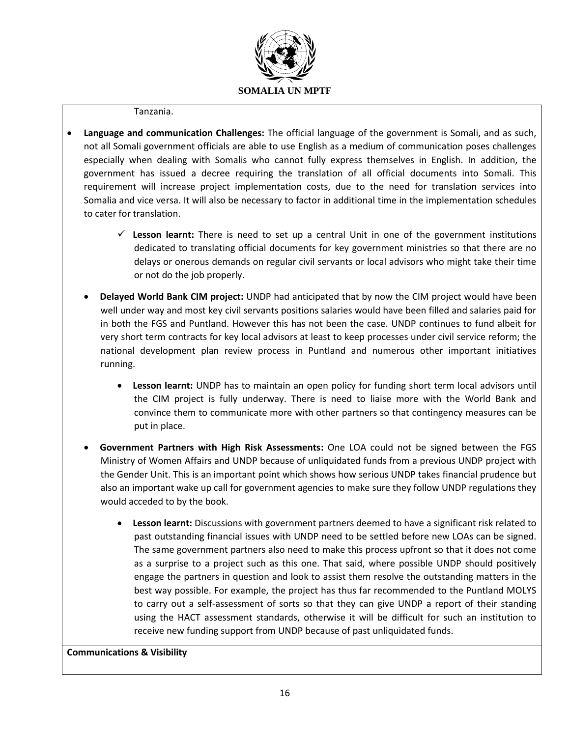

#### Tanzania.

- **Language and communication Challenges:** The official language of the government is Somali, and as such, not all Somali government officials are able to use English as a medium of communication poses challenges especially when dealing with Somalis who cannot fully express themselves in English. In addition, the government has issued a decree requiring the translation of all official documents into Somali. This requirement will increase project implementation costs, due to the need for translation services into Somalia and vice versa. It will also be necessary to factor in additional time in the implementation schedules to cater for translation.
	- **Lesson learnt:** There is need to set up a central Unit in one of the government institutions dedicated to translating official documents for key government ministries so that there are no delays or onerous demands on regular civil servants or local advisors who might take their time or not do the job properly.
	- **Delayed World Bank CIM project:** UNDP had anticipated that by now the CIM project would have been well under way and most key civil servants positions salaries would have been filled and salaries paid for in both the FGS and Puntland. However this has not been the case. UNDP continues to fund albeit for very short term contracts for key local advisors at least to keep processes under civil service reform; the national development plan review process in Puntland and numerous other important initiatives running.
		- **Lesson learnt:** UNDP has to maintain an open policy for funding short term local advisors until the CIM project is fully underway. There is need to liaise more with the World Bank and convince them to communicate more with other partners so that contingency measures can be put in place.
	- **Government Partners with High Risk Assessments:** One LOA could not be signed between the FGS Ministry of Women Affairs and UNDP because of unliquidated funds from a previous UNDP project with the Gender Unit. This is an important point which shows how serious UNDP takes financial prudence but also an important wake up call for government agencies to make sure they follow UNDP regulations they would acceded to by the book.
		- **Lesson learnt:** Discussions with government partners deemed to have a significant risk related to past outstanding financial issues with UNDP need to be settled before new LOAs can be signed. The same government partners also need to make this process upfront so that it does not come as a surprise to a project such as this one. That said, where possible UNDP should positively engage the partners in question and look to assist them resolve the outstanding matters in the best way possible. For example, the project has thus far recommended to the Puntland MOLYS to carry out a self-assessment of sorts so that they can give UNDP a report of their standing using the HACT assessment standards, otherwise it will be difficult for such an institution to receive new funding support from UNDP because of past unliquidated funds.

### **Communications & Visibility**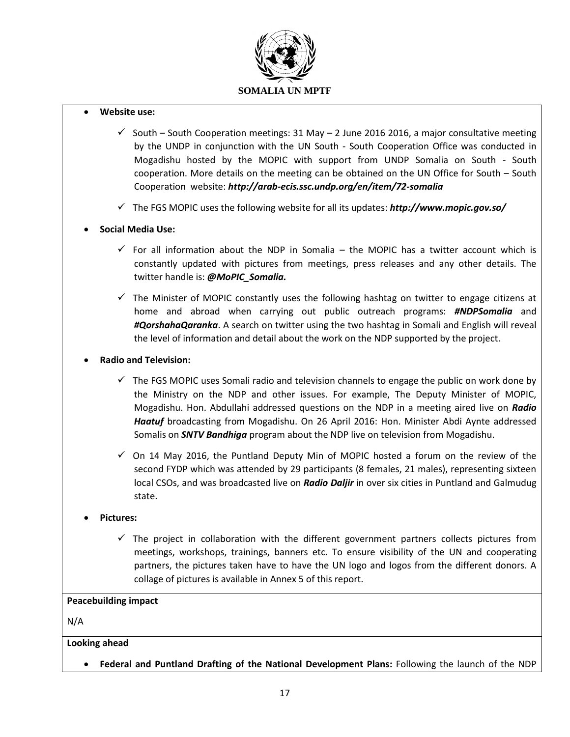

#### **Website use:**

- $\checkmark$  South South Cooperation meetings: 31 May 2 June 2016 2016, a major consultative meeting by the UNDP in conjunction with the UN South - South Cooperation Office was conducted in Mogadishu hosted by the MOPIC with support from UNDP Somalia on South - South cooperation. More details on the meeting can be obtained on the UN Office for South – South Cooperation website: *<http://arab-ecis.ssc.undp.org/en/item/72-somalia>*
- The FGS MOPIC uses the following website for all its updates: *http://www.mopic.gov.so/*

### **Social Media Use:**

- For all information about the NDP in Somalia the MOPIC has a twitter account which is constantly updated with pictures from meetings, press releases and any other details. The twitter handle is: *@MoPIC\_Somalia.*
- $\checkmark$  The Minister of MOPIC constantly uses the following hashtag on twitter to engage citizens at home and abroad when carrying out public outreach programs: *#NDPSomalia* and *#QorshahaQaranka*. A search on twitter using the two hashtag in Somali and English will reveal the level of information and detail about the work on the NDP supported by the project.
- **Radio and Television:**
	- $\checkmark$  The FGS MOPIC uses Somali radio and television channels to engage the public on work done by the Ministry on the NDP and other issues. For example, The Deputy Minister of MOPIC, Mogadishu. Hon. Abdullahi addressed questions on the NDP in a meeting aired live on *Radio Haatuf* broadcasting from Mogadishu. On 26 April 2016: Hon. Minister Abdi Aynte addressed Somalis on *SNTV Bandhiga* program about the NDP live on television from Mogadishu.
	- $\checkmark$  On 14 May 2016, the Puntland Deputy Min of MOPIC hosted a forum on the review of the second FYDP which was attended by 29 participants (8 females, 21 males), representing sixteen local CSOs, and was broadcasted live on *Radio Daljir* in over six cities in Puntland and Galmudug state.
- **Pictures:** 
	- $\checkmark$  The project in collaboration with the different government partners collects pictures from meetings, workshops, trainings, banners etc. To ensure visibility of the UN and cooperating partners, the pictures taken have to have the UN logo and logos from the different donors. A collage of pictures is available in Annex 5 of this report.

#### **Peacebuilding impact**

N/A

### **Looking ahead**

**Federal and Puntland Drafting of the National Development Plans:** Following the launch of the NDP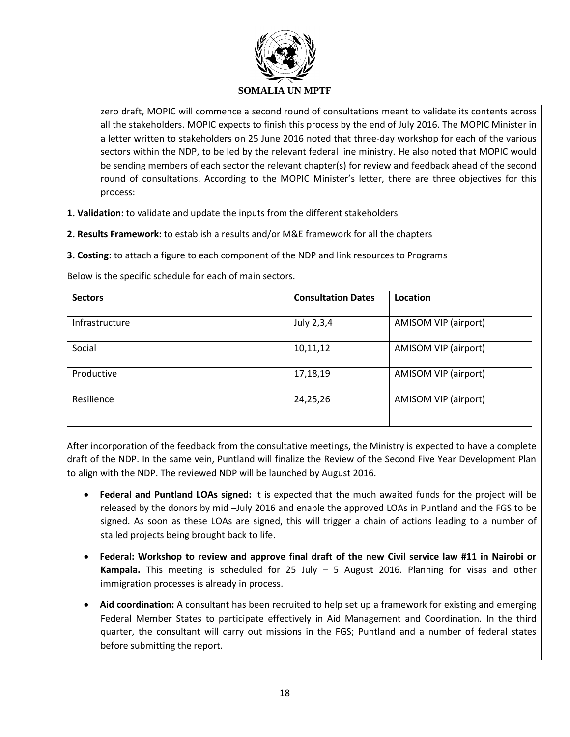

zero draft, MOPIC will commence a second round of consultations meant to validate its contents across all the stakeholders. MOPIC expects to finish this process by the end of July 2016. The MOPIC Minister in a letter written to stakeholders on 25 June 2016 noted that three-day workshop for each of the various sectors within the NDP, to be led by the relevant federal line ministry. He also noted that MOPIC would be sending members of each sector the relevant chapter(s) for review and feedback ahead of the second round of consultations. According to the MOPIC Minister's letter, there are three objectives for this process:

**1. Validation:** to validate and update the inputs from the different stakeholders

**2. Results Framework:** to establish a results and/or M&E framework for all the chapters

**3. Costing:** to attach a figure to each component of the NDP and link resources to Programs

Below is the specific schedule for each of main sectors.

| <b>Sectors</b> | <b>Consultation Dates</b> | Location             |
|----------------|---------------------------|----------------------|
| Infrastructure | July 2,3,4                | AMISOM VIP (airport) |
| Social         | 10,11,12                  | AMISOM VIP (airport) |
| Productive     | 17,18,19                  | AMISOM VIP (airport) |
| Resilience     | 24,25,26                  | AMISOM VIP (airport) |

After incorporation of the feedback from the consultative meetings, the Ministry is expected to have a complete draft of the NDP. In the same vein, Puntland will finalize the Review of the Second Five Year Development Plan to align with the NDP. The reviewed NDP will be launched by August 2016.

- **Federal and Puntland LOAs signed:** It is expected that the much awaited funds for the project will be released by the donors by mid –July 2016 and enable the approved LOAs in Puntland and the FGS to be signed. As soon as these LOAs are signed, this will trigger a chain of actions leading to a number of stalled projects being brought back to life.
- **Federal: Workshop to review and approve final draft of the new Civil service law #11 in Nairobi or Kampala.** This meeting is scheduled for 25 July – 5 August 2016. Planning for visas and other immigration processes is already in process.
- **Aid coordination:** A consultant has been recruited to help set up a framework for existing and emerging Federal Member States to participate effectively in Aid Management and Coordination. In the third quarter, the consultant will carry out missions in the FGS; Puntland and a number of federal states before submitting the report.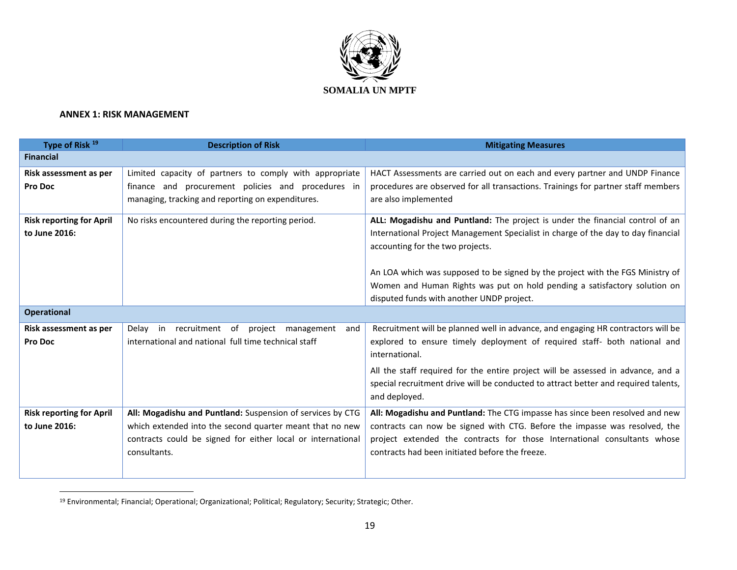

### **ANNEX 1: RISK MANAGEMENT**

 $\overline{a}$ 

| Type of Risk 19                 | <b>Description of Risk</b>                                  | <b>Mitigating Measures</b>                                                                  |
|---------------------------------|-------------------------------------------------------------|---------------------------------------------------------------------------------------------|
| <b>Financial</b>                |                                                             |                                                                                             |
| Risk assessment as per          | Limited capacity of partners to comply with appropriate     | HACT Assessments are carried out on each and every partner and UNDP Finance                 |
| Pro Doc                         | finance and procurement policies and procedures in          | procedures are observed for all transactions. Trainings for partner staff members           |
|                                 | managing, tracking and reporting on expenditures.           | are also implemented                                                                        |
| <b>Risk reporting for April</b> | No risks encountered during the reporting period.           | ALL: Mogadishu and Puntland: The project is under the financial control of an               |
| to June 2016:                   |                                                             | International Project Management Specialist in charge of the day to day financial           |
|                                 |                                                             | accounting for the two projects.                                                            |
|                                 |                                                             |                                                                                             |
|                                 |                                                             | An LOA which was supposed to be signed by the project with the FGS Ministry of              |
|                                 |                                                             | Women and Human Rights was put on hold pending a satisfactory solution on                   |
|                                 |                                                             | disputed funds with another UNDP project.                                                   |
| <b>Operational</b>              |                                                             |                                                                                             |
| Risk assessment as per          | recruitment<br>of<br>project management<br>Delav in<br>and  | Recruitment will be planned well in advance, and engaging HR contractors will be            |
| Pro Doc                         | international and national full time technical staff        | explored to ensure timely deployment of required staff- both national and<br>international. |
|                                 |                                                             | All the staff required for the entire project will be assessed in advance, and a            |
|                                 |                                                             | special recruitment drive will be conducted to attract better and required talents,         |
|                                 |                                                             | and deployed.                                                                               |
| <b>Risk reporting for April</b> | All: Mogadishu and Puntland: Suspension of services by CTG  | All: Mogadishu and Puntland: The CTG impasse has since been resolved and new                |
| to June 2016:                   | which extended into the second quarter meant that no new    | contracts can now be signed with CTG. Before the impasse was resolved, the                  |
|                                 | contracts could be signed for either local or international | project extended the contracts for those International consultants whose                    |
|                                 | consultants.                                                | contracts had been initiated before the freeze.                                             |
|                                 |                                                             |                                                                                             |
|                                 |                                                             |                                                                                             |

<sup>&</sup>lt;sup>19</sup> Environmental; Financial; Operational; Organizational; Political; Regulatory; Security; Strategic; Other.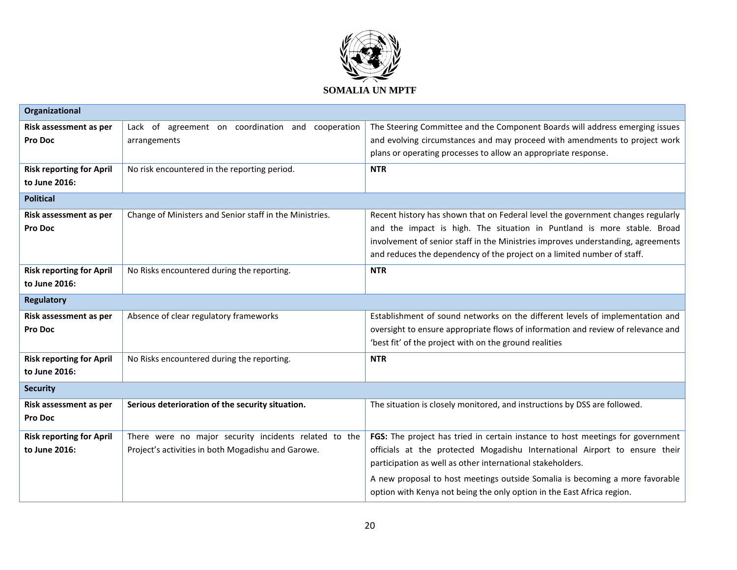

| Organizational                  |                                                         |                                                                                  |
|---------------------------------|---------------------------------------------------------|----------------------------------------------------------------------------------|
| Risk assessment as per          | Lack of agreement on coordination and cooperation       | The Steering Committee and the Component Boards will address emerging issues     |
| Pro Doc                         | arrangements                                            | and evolving circumstances and may proceed with amendments to project work       |
|                                 |                                                         | plans or operating processes to allow an appropriate response.                   |
| <b>Risk reporting for April</b> | No risk encountered in the reporting period.            | <b>NTR</b>                                                                       |
| to June 2016:                   |                                                         |                                                                                  |
| <b>Political</b>                |                                                         |                                                                                  |
| Risk assessment as per          | Change of Ministers and Senior staff in the Ministries. | Recent history has shown that on Federal level the government changes regularly  |
| Pro Doc                         |                                                         | and the impact is high. The situation in Puntland is more stable. Broad          |
|                                 |                                                         | involvement of senior staff in the Ministries improves understanding, agreements |
|                                 |                                                         | and reduces the dependency of the project on a limited number of staff.          |
| <b>Risk reporting for April</b> | No Risks encountered during the reporting.              | <b>NTR</b>                                                                       |
| to June 2016:                   |                                                         |                                                                                  |
| <b>Regulatory</b>               |                                                         |                                                                                  |
| Risk assessment as per          | Absence of clear regulatory frameworks                  | Establishment of sound networks on the different levels of implementation and    |
| Pro Doc                         |                                                         | oversight to ensure appropriate flows of information and review of relevance and |
|                                 |                                                         | 'best fit' of the project with on the ground realities                           |
| <b>Risk reporting for April</b> | No Risks encountered during the reporting.              | <b>NTR</b>                                                                       |
| to June 2016:                   |                                                         |                                                                                  |
| <b>Security</b>                 |                                                         |                                                                                  |
| Risk assessment as per          | Serious deterioration of the security situation.        | The situation is closely monitored, and instructions by DSS are followed.        |
| Pro Doc                         |                                                         |                                                                                  |
| <b>Risk reporting for April</b> | There were no major security incidents related to the   | FGS: The project has tried in certain instance to host meetings for government   |
| to June 2016:                   | Project's activities in both Mogadishu and Garowe.      | officials at the protected Mogadishu International Airport to ensure their       |
|                                 |                                                         | participation as well as other international stakeholders.                       |
|                                 |                                                         | A new proposal to host meetings outside Somalia is becoming a more favorable     |
|                                 |                                                         | option with Kenya not being the only option in the East Africa region.           |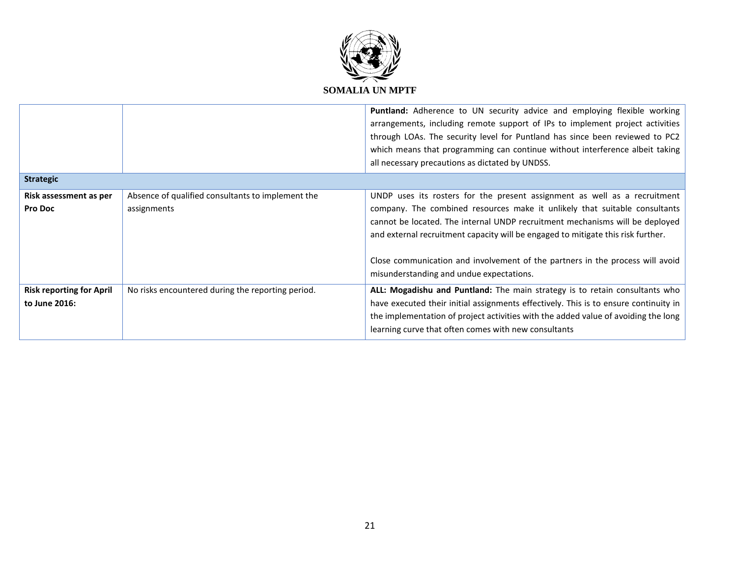

|                                                  |                                                                  | Puntland: Adherence to UN security advice and employing flexible working<br>arrangements, including remote support of IPs to implement project activities<br>through LOAs. The security level for Puntland has since been reviewed to PC2<br>which means that programming can continue without interference albeit taking<br>all necessary precautions as dictated by UNDSS.                                                                             |
|--------------------------------------------------|------------------------------------------------------------------|----------------------------------------------------------------------------------------------------------------------------------------------------------------------------------------------------------------------------------------------------------------------------------------------------------------------------------------------------------------------------------------------------------------------------------------------------------|
| <b>Strategic</b>                                 |                                                                  |                                                                                                                                                                                                                                                                                                                                                                                                                                                          |
| Risk assessment as per<br>Pro Doc                | Absence of qualified consultants to implement the<br>assignments | UNDP uses its rosters for the present assignment as well as a recruitment<br>company. The combined resources make it unlikely that suitable consultants<br>cannot be located. The internal UNDP recruitment mechanisms will be deployed<br>and external recruitment capacity will be engaged to mitigate this risk further.<br>Close communication and involvement of the partners in the process will avoid<br>misunderstanding and undue expectations. |
| <b>Risk reporting for April</b><br>to June 2016: | No risks encountered during the reporting period.                | ALL: Mogadishu and Puntland: The main strategy is to retain consultants who<br>have executed their initial assignments effectively. This is to ensure continuity in<br>the implementation of project activities with the added value of avoiding the long<br>learning curve that often comes with new consultants                                                                                                                                        |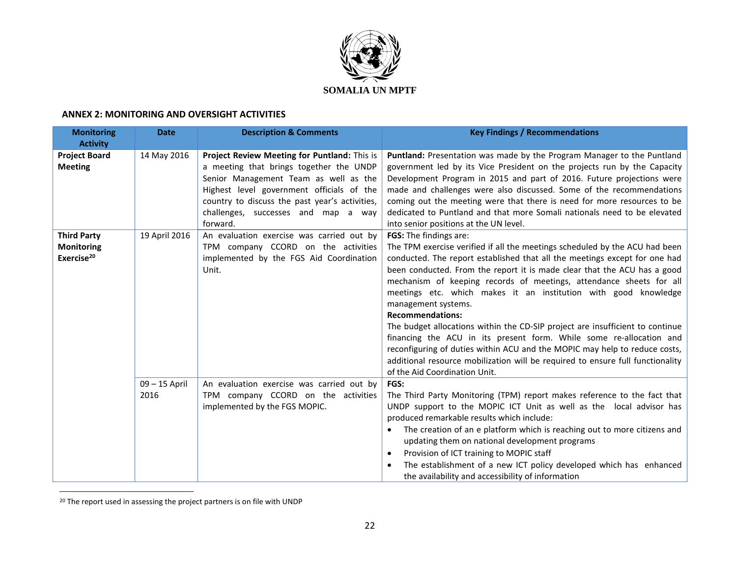

#### **ANNEX 2: MONITORING AND OVERSIGHT ACTIVITIES**

| <b>Monitoring</b>      | <b>Date</b>   | <b>Description &amp; Comments</b>              | <b>Key Findings / Recommendations</b>                                          |
|------------------------|---------------|------------------------------------------------|--------------------------------------------------------------------------------|
| <b>Activity</b>        |               |                                                |                                                                                |
| <b>Project Board</b>   | 14 May 2016   | Project Review Meeting for Puntland: This is   | Puntland: Presentation was made by the Program Manager to the Puntland         |
| <b>Meeting</b>         |               | a meeting that brings together the UNDP        | government led by its Vice President on the projects run by the Capacity       |
|                        |               | Senior Management Team as well as the          | Development Program in 2015 and part of 2016. Future projections were          |
|                        |               | Highest level government officials of the      | made and challenges were also discussed. Some of the recommendations           |
|                        |               | country to discuss the past year's activities, | coming out the meeting were that there is need for more resources to be        |
|                        |               | challenges, successes and map a way            | dedicated to Puntland and that more Somali nationals need to be elevated       |
|                        |               | forward.                                       | into senior positions at the UN level.                                         |
| <b>Third Party</b>     | 19 April 2016 | An evaluation exercise was carried out by      | FGS: The findings are:                                                         |
| <b>Monitoring</b>      |               | TPM company CCORD on the activities            | The TPM exercise verified if all the meetings scheduled by the ACU had been    |
| Exercise <sup>20</sup> |               | implemented by the FGS Aid Coordination        | conducted. The report established that all the meetings except for one had     |
|                        |               | Unit.                                          | been conducted. From the report it is made clear that the ACU has a good       |
|                        |               |                                                | mechanism of keeping records of meetings, attendance sheets for all            |
|                        |               |                                                | meetings etc. which makes it an institution with good knowledge                |
|                        |               |                                                | management systems.                                                            |
|                        |               |                                                | <b>Recommendations:</b>                                                        |
|                        |               |                                                | The budget allocations within the CD-SIP project are insufficient to continue  |
|                        |               |                                                | financing the ACU in its present form. While some re-allocation and            |
|                        |               |                                                | reconfiguring of duties within ACU and the MOPIC may help to reduce costs,     |
|                        |               |                                                | additional resource mobilization will be required to ensure full functionality |
|                        |               |                                                | of the Aid Coordination Unit.                                                  |
|                        | 09-15 April   | An evaluation exercise was carried out by      | <b>FGS:</b>                                                                    |
|                        | 2016          | TPM company CCORD on the activities            | The Third Party Monitoring (TPM) report makes reference to the fact that       |
|                        |               | implemented by the FGS MOPIC.                  | UNDP support to the MOPIC ICT Unit as well as the local advisor has            |
|                        |               |                                                | produced remarkable results which include:                                     |
|                        |               |                                                | The creation of an e platform which is reaching out to more citizens and       |
|                        |               |                                                | updating them on national development programs                                 |
|                        |               |                                                | Provision of ICT training to MOPIC staff                                       |
|                        |               |                                                | The establishment of a new ICT policy developed which has enhanced             |
|                        |               |                                                | the availability and accessibility of information                              |

<sup>&</sup>lt;sup>20</sup> The report used in assessing the project partners is on file with UNDP

 $\overline{a}$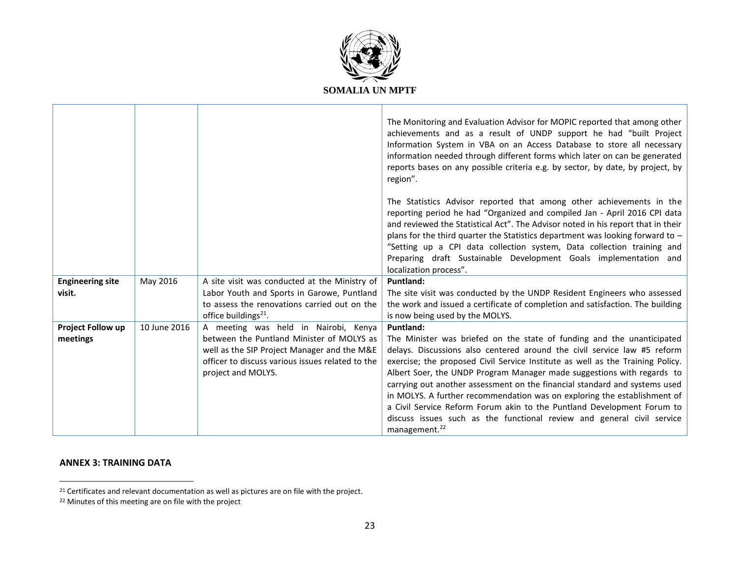

|                         |              |                                                                                                                                | The Monitoring and Evaluation Advisor for MOPIC reported that among other<br>achievements and as a result of UNDP support he had "built Project<br>Information System in VBA on an Access Database to store all necessary<br>information needed through different forms which later on can be generated<br>reports bases on any possible criteria e.g. by sector, by date, by project, by<br>region".                                                                                             |
|-------------------------|--------------|--------------------------------------------------------------------------------------------------------------------------------|---------------------------------------------------------------------------------------------------------------------------------------------------------------------------------------------------------------------------------------------------------------------------------------------------------------------------------------------------------------------------------------------------------------------------------------------------------------------------------------------------|
|                         |              |                                                                                                                                | The Statistics Advisor reported that among other achievements in the<br>reporting period he had "Organized and compiled Jan - April 2016 CPI data<br>and reviewed the Statistical Act". The Advisor noted in his report that in their<br>plans for the third quarter the Statistics department was looking forward to $-$<br>"Setting up a CPI data collection system, Data collection training and<br>Preparing draft Sustainable Development Goals implementation and<br>localization process". |
| <b>Engineering site</b> | May 2016     | A site visit was conducted at the Ministry of                                                                                  | Puntland:                                                                                                                                                                                                                                                                                                                                                                                                                                                                                         |
| visit.                  |              | Labor Youth and Sports in Garowe, Puntland<br>to assess the renovations carried out on the<br>office buildings <sup>21</sup> . | The site visit was conducted by the UNDP Resident Engineers who assessed<br>the work and issued a certificate of completion and satisfaction. The building<br>is now being used by the MOLYS.                                                                                                                                                                                                                                                                                                     |
| Project Follow up       | 10 June 2016 | A meeting was held in Nairobi, Kenya                                                                                           | Puntland:                                                                                                                                                                                                                                                                                                                                                                                                                                                                                         |
| meetings                |              | between the Puntland Minister of MOLYS as<br>well as the SIP Project Manager and the M&E                                       | The Minister was briefed on the state of funding and the unanticipated<br>delays. Discussions also centered around the civil service law #5 reform                                                                                                                                                                                                                                                                                                                                                |
|                         |              | officer to discuss various issues related to the                                                                               | exercise; the proposed Civil Service Institute as well as the Training Policy.                                                                                                                                                                                                                                                                                                                                                                                                                    |
|                         |              | project and MOLYS.                                                                                                             | Albert Soer, the UNDP Program Manager made suggestions with regards to                                                                                                                                                                                                                                                                                                                                                                                                                            |
|                         |              |                                                                                                                                | carrying out another assessment on the financial standard and systems used                                                                                                                                                                                                                                                                                                                                                                                                                        |
|                         |              |                                                                                                                                | in MOLYS. A further recommendation was on exploring the establishment of<br>a Civil Service Reform Forum akin to the Puntland Development Forum to                                                                                                                                                                                                                                                                                                                                                |
|                         |              |                                                                                                                                | discuss issues such as the functional review and general civil service                                                                                                                                                                                                                                                                                                                                                                                                                            |
|                         |              |                                                                                                                                | management. <sup>22</sup>                                                                                                                                                                                                                                                                                                                                                                                                                                                                         |

### **ANNEX 3: TRAINING DATA**

 $\overline{a}$ 

<sup>&</sup>lt;sup>21</sup> Certificates and relevant documentation as well as pictures are on file with the project.

<sup>22</sup> Minutes of this meeting are on file with the project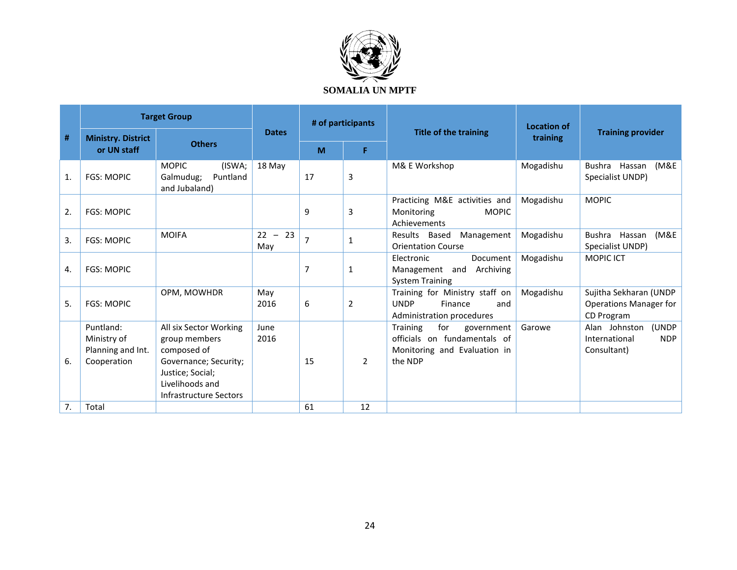

|    |                                                              | <b>Target Group</b>                                                                                                                              |                  | # of participants |                |                                                                                                          | <b>Location of</b> |                                                                      |
|----|--------------------------------------------------------------|--------------------------------------------------------------------------------------------------------------------------------------------------|------------------|-------------------|----------------|----------------------------------------------------------------------------------------------------------|--------------------|----------------------------------------------------------------------|
| #  | <b>Ministry. District</b>                                    | <b>Others</b>                                                                                                                                    | <b>Dates</b>     |                   |                | Title of the training                                                                                    | training           | <b>Training provider</b>                                             |
|    | or UN staff                                                  |                                                                                                                                                  |                  | M                 | F.             |                                                                                                          |                    |                                                                      |
| 1. | <b>FGS: MOPIC</b>                                            | <b>MOPIC</b><br>(ISWA;<br>Puntland<br>Galmudug;<br>and Jubaland)                                                                                 | 18 May           | 17                | 3              | M& E Workshop                                                                                            | Mogadishu          | (M&E<br>Bushra<br>Hassan<br>Specialist UNDP)                         |
| 2. | <b>FGS: MOPIC</b>                                            |                                                                                                                                                  |                  | 9                 | 3              | Practicing M&E activities and<br>Monitoring<br><b>MOPIC</b><br>Achievements                              | Mogadishu          | <b>MOPIC</b>                                                         |
| 3. | <b>FGS: MOPIC</b>                                            | <b>MOIFA</b>                                                                                                                                     | $22 - 23$<br>May | $\overline{7}$    | 1              | Results Based<br>Management<br><b>Orientation Course</b>                                                 | Mogadishu          | (M&E<br>Bushra Hassan<br>Specialist UNDP)                            |
| 4. | <b>FGS: MOPIC</b>                                            |                                                                                                                                                  |                  | 7                 | $\mathbf{1}$   | Electronic<br>Document<br>Archiving<br>Management and<br><b>System Training</b>                          | Mogadishu          | <b>MOPIC ICT</b>                                                     |
| 5. | <b>FGS: MOPIC</b>                                            | OPM, MOWHDR                                                                                                                                      | May<br>2016      | 6                 | $\overline{2}$ | Training for Ministry staff on<br><b>UNDP</b><br>Finance<br>and<br>Administration procedures             | Mogadishu          | Sujitha Sekharan (UNDP<br>Operations Manager for<br>CD Program       |
| 6. | Puntland:<br>Ministry of<br>Planning and Int.<br>Cooperation | All six Sector Working<br>group members<br>composed of<br>Governance; Security;<br>Justice: Social:<br>Livelihoods and<br>Infrastructure Sectors | June<br>2016     | 15                | $\overline{2}$ | for<br>Training<br>government<br>officials on fundamentals of<br>Monitoring and Evaluation in<br>the NDP | Garowe             | (UNDP<br>Alan Johnston<br>International<br><b>NDP</b><br>Consultant) |
| 7. | Total                                                        |                                                                                                                                                  |                  | 61                | 12             |                                                                                                          |                    |                                                                      |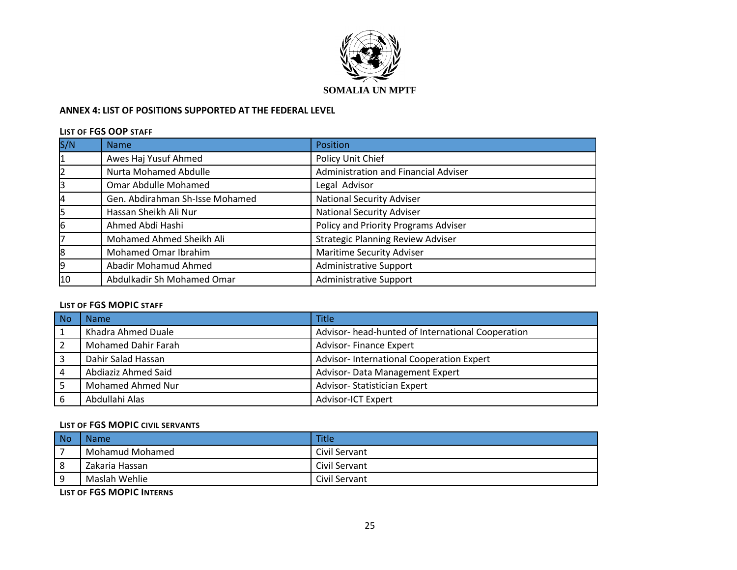

### **ANNEX 4: LIST OF POSITIONS SUPPORTED AT THE FEDERAL LEVEL**

#### **LIST OF FGS OOP STAFF**

| S/N | <b>Name</b>                     | Position                                 |
|-----|---------------------------------|------------------------------------------|
| 1   | Awes Haj Yusuf Ahmed            | Policy Unit Chief                        |
|     | <b>Nurta Mohamed Abdulle</b>    | Administration and Financial Adviser     |
| 3   | Omar Abdulle Mohamed            | Legal Advisor                            |
| 4   | Gen. Abdirahman Sh-Isse Mohamed | <b>National Security Adviser</b>         |
| 5   | Hassan Sheikh Ali Nur           | <b>National Security Adviser</b>         |
| 6   | Ahmed Abdi Hashi                | Policy and Priority Programs Adviser     |
|     | Mohamed Ahmed Sheikh Ali        | <b>Strategic Planning Review Adviser</b> |
| 8   | Mohamed Omar Ibrahim            | <b>Maritime Security Adviser</b>         |
| 9   | Abadir Mohamud Ahmed            | <b>Administrative Support</b>            |
| 10  | Abdulkadir Sh Mohamed Omar      | Administrative Support                   |

## **LIST OF FGS MOPIC STAFF**

| No | Name                       | <b>Title</b>                                      |
|----|----------------------------|---------------------------------------------------|
|    | Khadra Ahmed Duale         | Advisor- head-hunted of International Cooperation |
|    | <b>Mohamed Dahir Farah</b> | <b>Advisor-Finance Expert</b>                     |
|    | Dahir Salad Hassan         | Advisor-International Cooperation Expert          |
|    | Abdiaziz Ahmed Said        | Advisor- Data Management Expert                   |
|    | Mohamed Ahmed Nur          | <b>Advisor-Statistician Expert</b>                |
| 6  | Abdullahi Alas             | <b>Advisor-ICT Expert</b>                         |

## **LIST OF FGS MOPIC CIVIL SERVANTS**

| No | <b>Name</b>     | <b>Title</b>  |
|----|-----------------|---------------|
|    | Mohamud Mohamed | Civil Servant |
| -8 | Zakaria Hassan  | Civil Servant |
| q  | Maslah Wehlie   | Civil Servant |

**LIST OF FGS MOPIC INTERNS**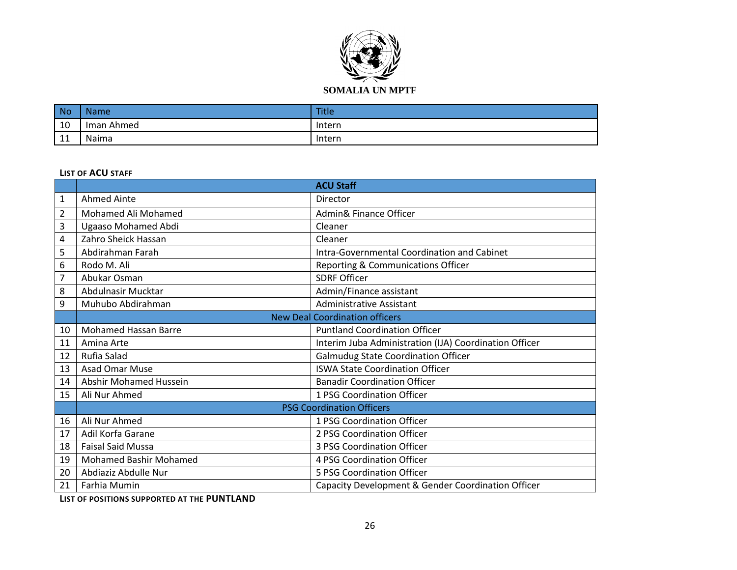

| <b>No</b>      | <b>Name</b> | <b>Title</b> |
|----------------|-------------|--------------|
| 10             | Iman Ahmed  | Intern       |
| $\overline{A}$ | Naima       | Intern       |

#### **LIST OF ACU STAFF**

|                |                               | <b>ACU Staff</b>                                       |
|----------------|-------------------------------|--------------------------------------------------------|
| $\mathbf{1}$   | Ahmed Ainte                   | Director                                               |
| $\overline{2}$ | Mohamed Ali Mohamed           | Admin& Finance Officer                                 |
| 3              | Ugaaso Mohamed Abdi           | Cleaner                                                |
| 4              | Zahro Sheick Hassan           | Cleaner                                                |
| 5              | Abdirahman Farah              | Intra-Governmental Coordination and Cabinet            |
| 6              | Rodo M. Ali                   | Reporting & Communications Officer                     |
| 7              | Abukar Osman                  | <b>SDRF Officer</b>                                    |
| 8              | Abdulnasir Mucktar            | Admin/Finance assistant                                |
| 9              | Muhubo Abdirahman             | <b>Administrative Assistant</b>                        |
|                |                               | <b>New Deal Coordination officers</b>                  |
| 10             | <b>Mohamed Hassan Barre</b>   | <b>Puntland Coordination Officer</b>                   |
| 11             | Amina Arte                    | Interim Juba Administration (IJA) Coordination Officer |
| 12             | Rufia Salad                   | <b>Galmudug State Coordination Officer</b>             |
| 13             | Asad Omar Muse                | <b>ISWA State Coordination Officer</b>                 |
| 14             | <b>Abshir Mohamed Hussein</b> | <b>Banadir Coordination Officer</b>                    |
| 15             | Ali Nur Ahmed                 | 1 PSG Coordination Officer                             |
|                |                               | <b>PSG Coordination Officers</b>                       |
| 16             | Ali Nur Ahmed                 | 1 PSG Coordination Officer                             |
| 17             | Adil Korfa Garane             | 2 PSG Coordination Officer                             |
| 18             | <b>Faisal Said Mussa</b>      | 3 PSG Coordination Officer                             |
| 19             | <b>Mohamed Bashir Mohamed</b> | 4 PSG Coordination Officer                             |
| 20             | Abdiaziz Abdulle Nur          | 5 PSG Coordination Officer                             |
| 21             | Farhia Mumin                  | Capacity Development & Gender Coordination Officer     |

**LIST OF POSITIONS SUPPORTED AT THE PUNTLAND**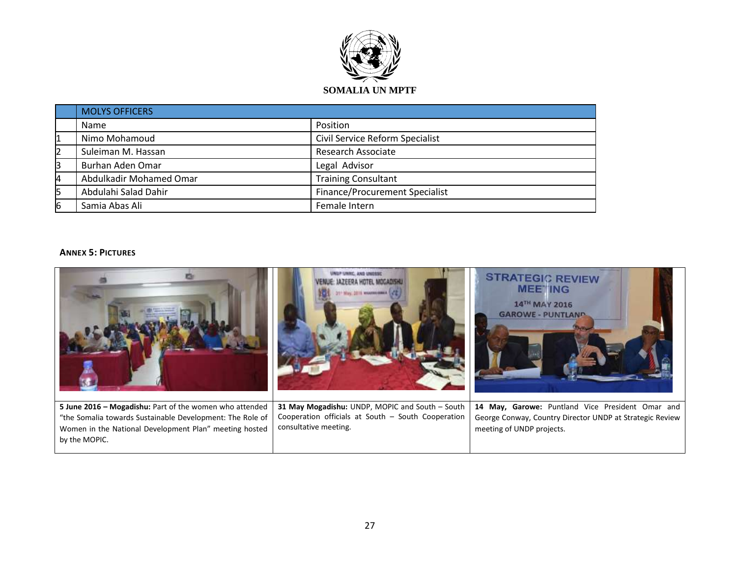

|    | <b>MOLYS OFFICERS</b>   |                                 |  |
|----|-------------------------|---------------------------------|--|
|    | Name                    | Position                        |  |
| 1  | Nimo Mohamoud           | Civil Service Reform Specialist |  |
| 12 | Suleiman M. Hassan      | Research Associate              |  |
| 3  | Burhan Aden Omar        | Legal Advisor                   |  |
| 4  | Abdulkadir Mohamed Omar | <b>Training Consultant</b>      |  |
| 5  | Abdulahi Salad Dahir    | Finance/Procurement Specialist  |  |
| 6  | Samia Abas Ali          | Female Intern                   |  |

### **ANNEX 5: PICTURES**

|                                                                                                                                                                                                 | 2015 WEAPHREEKE                                                                                                                | <b>STRATEGIC REVIEW</b><br><b>MEETING</b><br>14TH MAY 2016<br><b>GAROWE - PUNTLAND</b>                                                    |
|-------------------------------------------------------------------------------------------------------------------------------------------------------------------------------------------------|--------------------------------------------------------------------------------------------------------------------------------|-------------------------------------------------------------------------------------------------------------------------------------------|
| 5 June 2016 - Mogadishu: Part of the women who attended<br>"the Somalia towards Sustainable Development: The Role of<br>Women in the National Development Plan" meeting hosted<br>by the MOPIC. | 31 May Mogadishu: UNDP, MOPIC and South - South<br>Cooperation officials at South - South Cooperation<br>consultative meeting. | 14 May, Garowe: Puntland Vice President Omar and<br>George Conway, Country Director UNDP at Strategic Review<br>meeting of UNDP projects. |